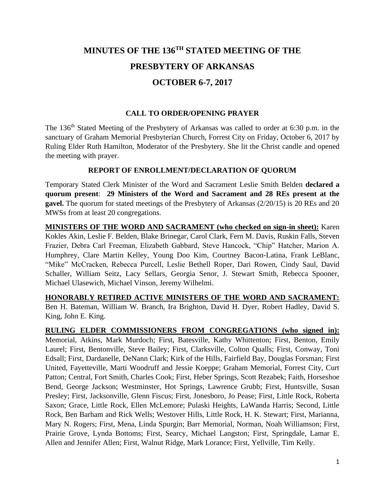# **MINUTES OF THE 136TH STATED MEETING OF THE PRESBYTERY OF ARKANSAS OCTOBER 6-7, 2017**

### **CALL TO ORDER/OPENING PRAYER**

The 136<sup>th</sup> Stated Meeting of the Presbytery of Arkansas was called to order at 6:30 p.m. in the sanctuary of Graham Memorial Presbyterian Church, Forrest City on Friday, October 6, 2017 by Ruling Elder Ruth Hamilton, Moderator of the Presbytery. She lit the Christ candle and opened the meeting with prayer.

### **REPORT OF ENROLLMENT/DECLARATION OF QUORUM**

Temporary Stated Clerk Minister of the Word and Sacrament Leslie Smith Belden **declared a quorum present**: **29 Ministers of the Word and Sacrament and 28 REs present at the gavel.** The quorum for stated meetings of the Presbytery of Arkansas (2/20/15) is 20 REs and 20 MWSs from at least 20 congregations.

**MINISTERS OF THE WORD AND SACRAMENT (who checked on sign-in sheet):** Karen Kokles Akin, Leslie F. Belden, Blake Brinegar, Carol Clark, Fern M. Davis, Ruskin Falls, Steven Frazier, Debra Carl Freeman, Elizabeth Gabbard, Steve Hancock, "Chip" Hatcher, Marion A. Humphrey, Clare Martin Kelley, Young Doo Kim, Courtney Bacon-Latina, Frank LeBlanc, "Mike" McCracken, Rebecca Purcell, Leslie Bethell Roper, Dari Rowen, Cindy Saul, David Schaller, William Seitz, Lacy Sellars, Georgia Senor, J. Stewart Smith, Rebecca Spooner, Michael Ulasewich, Michael Vinson, Jeremy Wilhelmi.

**HONORABLY RETIRED ACTIVE MINISTERS OF THE WORD AND SACRAMENT:**  Ben H. Bateman, William W. Branch, Ira Brighton, David H. Dyer, Robert Hadley, David S. King, John E. King.

**RULING ELDER COMMISSIONERS FROM CONGREGATIONS (who signed in):** Memorial, Atkins, Mark Murdoch; First, Batesville, Kathy Whittenton; First, Benton, Emily Laurel; First, Bentonville, Steve Bailey; First, Clarksville, Colton Qualls; First, Conway, Toni Edsall; First, Dardanelle, DeNann Clark; Kirk of the Hills, Fairfield Bay, Douglas Forsman; First United, Fayetteville, Marti Woodruff and Jessie Koeppe; Graham Memorial, Forrest City, Curt Patton; Central, Fort Smith, Charles Cook; First, Heber Springs, Scott Rezabek; Faith, Horseshoe Bend, George Jackson; Westminster, Hot Springs, Lawrence Grubb; First, Huntsville, Susan Presley; First, Jacksonville, Glenn Fiscus; First, Jonesboro, Jo Pease; First, Little Rock, Roberta Saxon; Grace, Little Rock, Ellen McLemore; Pulaski Heights, LaWanda Harris; Second, Little Rock, Ben Barham and Rick Wells; Westover Hills, Little Rock, H. K. Stewart; First, Marianna, Mary N. Rogers; First, Mena, Linda Spurgin; Barr Memorial, Norman, Noah Williamson; First, Prairie Grove, Lynda Bottoms; First, Searcy, Michael Langston; First, Springdale, Lamar E. Allen and Jennifer Allen; First, Walnut Ridge, Mark Lorance; First, Yellville, Tim Kelly.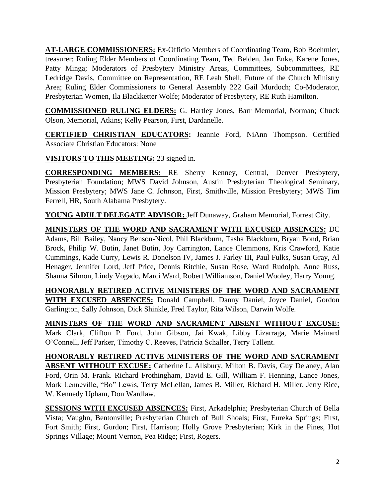**AT-LARGE COMMISSIONERS:** Ex-Officio Members of Coordinating Team, Bob Boehmler, treasurer; Ruling Elder Members of Coordinating Team, Ted Belden, Jan Enke, Karene Jones, Patty Minga; Moderators of Presbytery Ministry Areas, Committees, Subcommittees, RE Ledridge Davis, Committee on Representation, RE Leah Shell, Future of the Church Ministry Area; Ruling Elder Commissioners to General Assembly 222 Gail Murdoch; Co-Moderator, Presbyterian Women, Ila Blackketter Wolfe; Moderator of Presbytery, RE Ruth Hamilton.

**COMMISSIONED RULING ELDERS:** G. Hartley Jones, Barr Memorial, Norman; Chuck Olson, Memorial, Atkins; Kelly Pearson, First, Dardanelle.

**CERTIFIED CHRISTIAN EDUCATORS:** Jeannie Ford, NiAnn Thompson. Certified Associate Christian Educators: None

**VISITORS TO THIS MEETING:** 23 signed in.

**CORRESPONDING MEMBERS:** RE Sherry Kenney, Central, Denver Presbytery, Presbyterian Foundation; MWS David Johnson, Austin Presbyterian Theological Seminary, Mission Presbytery; MWS Jane C. Johnson, First, Smithville, Mission Presbytery; MWS Tim Ferrell, HR, South Alabama Presbytery.

**YOUNG ADULT DELEGATE ADVISOR:** Jeff Dunaway, Graham Memorial, Forrest City.

**MINISTERS OF THE WORD AND SACRAMENT WITH EXCUSED ABSENCES:** DC Adams, Bill Bailey, Nancy Benson-Nicol, Phil Blackburn, Tasha Blackburn, Bryan Bond, Brian Brock, Philip W. Butin, Janet Butin, Joy Carrington, Lance Clemmons, Kris Crawford, Katie Cummings, Kade Curry, Lewis R. Donelson IV, James J. Farley III, Paul Fulks, Susan Gray, Al Henager, Jennifer Lord, Jeff Price, Dennis Ritchie, Susan Rose, Ward Rudolph, Anne Russ, Shauna Silmon, Lindy Vogado, Marci Ward, Robert Williamson, Daniel Wooley, Harry Young.

**HONORABLY RETIRED ACTIVE MINISTERS OF THE WORD AND SACRAMENT WITH EXCUSED ABSENCES:** Donald Campbell, Danny Daniel, Joyce Daniel, Gordon Garlington, Sally Johnson, Dick Shinkle, Fred Taylor, Rita Wilson, Darwin Wolfe.

**MINISTERS OF THE WORD AND SACRAMENT ABSENT WITHOUT EXCUSE:**  Mark Clark, Clifton P. Ford, John Gibson, Jai Kwak, Libby Lizarraga, Marie Mainard O'Connell, Jeff Parker, Timothy C. Reeves, Patricia Schaller, Terry Tallent.

**HONORABLY RETIRED ACTIVE MINISTERS OF THE WORD AND SACRAMENT ABSENT WITHOUT EXCUSE:** Catherine L. Allsbury, Milton B. Davis, Guy Delaney, Alan Ford, Orin M. Frank. Richard Frothingham, David E. Gill, William F. Henning, Lance Jones, Mark Lenneville, "Bo" Lewis, Terry McLellan, James B. Miller, Richard H. Miller, Jerry Rice, W. Kennedy Upham, Don Wardlaw.

**SESSIONS WITH EXCUSED ABSENCES:** First, Arkadelphia; Presbyterian Church of Bella Vista; Vaughn, Bentonville; Presbyterian Church of Bull Shoals; First, Eureka Springs; First, Fort Smith; First, Gurdon; First, Harrison; Holly Grove Presbyterian; Kirk in the Pines, Hot Springs Village; Mount Vernon, Pea Ridge; First, Rogers.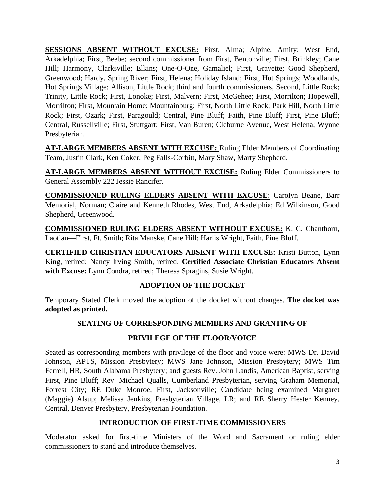**SESSIONS ABSENT WITHOUT EXCUSE:** First, Alma; Alpine, Amity; West End, Arkadelphia; First, Beebe; second commissioner from First, Bentonville; First, Brinkley; Cane Hill; Harmony, Clarksville; Elkins; One-O-One, Gamaliel; First, Gravette; Good Shepherd, Greenwood; Hardy, Spring River; First, Helena; Holiday Island; First, Hot Springs; Woodlands, Hot Springs Village; Allison, Little Rock; third and fourth commissioners, Second, Little Rock; Trinity, Little Rock; First, Lonoke; First, Malvern; First, McGehee; First, Morrilton; Hopewell, Morrilton; First, Mountain Home; Mountainburg; First, North Little Rock; Park Hill, North Little Rock; First, Ozark; First, Paragould; Central, Pine Bluff; Faith, Pine Bluff; First, Pine Bluff; Central, Russellville; First, Stuttgart; First, Van Buren; Cleburne Avenue, West Helena; Wynne Presbyterian.

**AT-LARGE MEMBERS ABSENT WITH EXCUSE:** Ruling Elder Members of Coordinating Team, Justin Clark, Ken Coker, Peg Falls-Corbitt, Mary Shaw, Marty Shepherd.

**AT-LARGE MEMBERS ABSENT WITHOUT EXCUSE:** Ruling Elder Commissioners to General Assembly 222 Jessie Rancifer.

**COMMISSIONED RULING ELDERS ABSENT WITH EXCUSE:** Carolyn Beane, Barr Memorial, Norman; Claire and Kenneth Rhodes, West End, Arkadelphia; Ed Wilkinson, Good Shepherd, Greenwood.

**COMMISSIONED RULING ELDERS ABSENT WITHOUT EXCUSE:** K. C. Chanthorn, Laotian—First, Ft. Smith; Rita Manske, Cane Hill; Harlis Wright, Faith, Pine Bluff.

**CERTIFIED CHRISTIAN EDUCATORS ABSENT WITH EXCUSE:** Kristi Button, Lynn King, retired; Nancy Irving Smith, retired. **Certified Associate Christian Educators Absent with Excuse:** Lynn Condra, retired; Theresa Spragins, Susie Wright.

# **ADOPTION OF THE DOCKET**

Temporary Stated Clerk moved the adoption of the docket without changes. **The docket was adopted as printed.**

# **SEATING OF CORRESPONDING MEMBERS AND GRANTING OF**

### **PRIVILEGE OF THE FLOOR/VOICE**

Seated as corresponding members with privilege of the floor and voice were: MWS Dr. David Johnson, APTS, Mission Presbytery; MWS Jane Johnson, Mission Presbytery; MWS Tim Ferrell, HR, South Alabama Presbytery; and guests Rev. John Landis, American Baptist, serving First, Pine Bluff; Rev. Michael Qualls, Cumberland Presbyterian, serving Graham Memorial, Forrest City; RE Duke Monroe, First, Jacksonville; Candidate being examined Margaret (Maggie) Alsup; Melissa Jenkins, Presbyterian Village, LR; and RE Sherry Hester Kenney, Central, Denver Presbytery, Presbyterian Foundation.

### **INTRODUCTION OF FIRST-TIME COMMISSIONERS**

Moderator asked for first-time Ministers of the Word and Sacrament or ruling elder commissioners to stand and introduce themselves.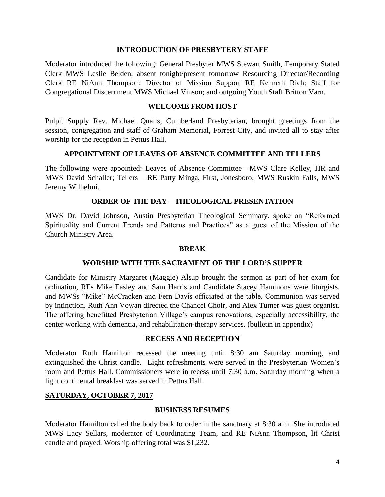#### **INTRODUCTION OF PRESBYTERY STAFF**

Moderator introduced the following: General Presbyter MWS Stewart Smith, Temporary Stated Clerk MWS Leslie Belden, absent tonight/present tomorrow Resourcing Director/Recording Clerk RE NiAnn Thompson; Director of Mission Support RE Kenneth Rich; Staff for Congregational Discernment MWS Michael Vinson; and outgoing Youth Staff Britton Varn.

### **WELCOME FROM HOST**

Pulpit Supply Rev. Michael Qualls, Cumberland Presbyterian, brought greetings from the session, congregation and staff of Graham Memorial, Forrest City, and invited all to stay after worship for the reception in Pettus Hall.

### **APPOINTMENT OF LEAVES OF ABSENCE COMMITTEE AND TELLERS**

The following were appointed: Leaves of Absence Committee—MWS Clare Kelley, HR and MWS David Schaller; Tellers – RE Patty Minga, First, Jonesboro; MWS Ruskin Falls, MWS Jeremy Wilhelmi.

### **ORDER OF THE DAY – THEOLOGICAL PRESENTATION**

MWS Dr. David Johnson, Austin Presbyterian Theological Seminary, spoke on "Reformed Spirituality and Current Trends and Patterns and Practices" as a guest of the Mission of the Church Ministry Area.

#### **BREAK**

### **WORSHIP WITH THE SACRAMENT OF THE LORD'S SUPPER**

Candidate for Ministry Margaret (Maggie) Alsup brought the sermon as part of her exam for ordination, REs Mike Easley and Sam Harris and Candidate Stacey Hammons were liturgists, and MWSs "Mike" McCracken and Fern Davis officiated at the table. Communion was served by intinction. Ruth Ann Vowan directed the Chancel Choir, and Alex Turner was guest organist. The offering benefitted Presbyterian Village's campus renovations, especially accessibility, the center working with dementia, and rehabilitation-therapy services. (bulletin in appendix)

### **RECESS AND RECEPTION**

Moderator Ruth Hamilton recessed the meeting until 8:30 am Saturday morning, and extinguished the Christ candle. Light refreshments were served in the Presbyterian Women's room and Pettus Hall. Commissioners were in recess until 7:30 a.m. Saturday morning when a light continental breakfast was served in Pettus Hall.

### **SATURDAY, OCTOBER 7, 2017**

### **BUSINESS RESUMES**

Moderator Hamilton called the body back to order in the sanctuary at 8:30 a.m. She introduced MWS Lacy Sellars, moderator of Coordinating Team, and RE NiAnn Thompson, lit Christ candle and prayed. Worship offering total was \$1,232.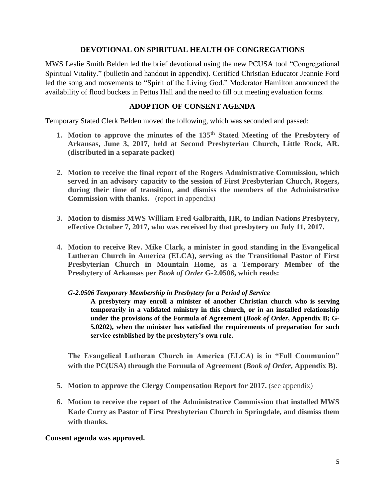### **DEVOTIONAL ON SPIRITUAL HEALTH OF CONGREGATIONS**

MWS Leslie Smith Belden led the brief devotional using the new PCUSA tool "Congregational Spiritual Vitality." (bulletin and handout in appendix). Certified Christian Educator Jeannie Ford led the song and movements to "Spirit of the Living God." Moderator Hamilton announced the availability of flood buckets in Pettus Hall and the need to fill out meeting evaluation forms.

### **ADOPTION OF CONSENT AGENDA**

Temporary Stated Clerk Belden moved the following, which was seconded and passed:

- **1. Motion to approve the minutes of the 135th Stated Meeting of the Presbytery of Arkansas, June 3, 2017, held at Second Presbyterian Church, Little Rock, AR. (distributed in a separate packet)**
- **2. Motion to receive the final report of the Rogers Administrative Commission, which served in an advisory capacity to the session of First Presbyterian Church, Rogers, during their time of transition, and dismiss the members of the Administrative Commission with thanks.** (report in appendix)
- **3. Motion to dismiss MWS William Fred Galbraith, HR, to Indian Nations Presbytery, effective October 7, 2017, who was received by that presbytery on July 11, 2017.**
- **4. Motion to receive Rev. Mike Clark, a minister in good standing in the Evangelical Lutheran Church in America (ELCA), serving as the Transitional Pastor of First Presbyterian Church in Mountain Home, as a Temporary Member of the Presbytery of Arkansas per** *Book of Order* **G-2.0506, which reads:**

*G-2.0506 Temporary Membership in Presbytery for a Period of Service*

**A presbytery may enroll a minister of another Christian church who is serving temporarily in a validated ministry in this church, or in an installed relationship under the provisions of the Formula of Agreement (***Book of Order***, Appendix B; G-5.0202), when the minister has satisfied the requirements of preparation for such service established by the presbytery's own rule.**

**The Evangelical Lutheran Church in America (ELCA) is in "Full Communion" with the PC(USA) through the Formula of Agreement (***Book of Order***, Appendix B).**

- **5. Motion to approve the Clergy Compensation Report for 2017.** (see appendix)
- **6. Motion to receive the report of the Administrative Commission that installed MWS Kade Curry as Pastor of First Presbyterian Church in Springdale, and dismiss them with thanks.**

### **Consent agenda was approved.**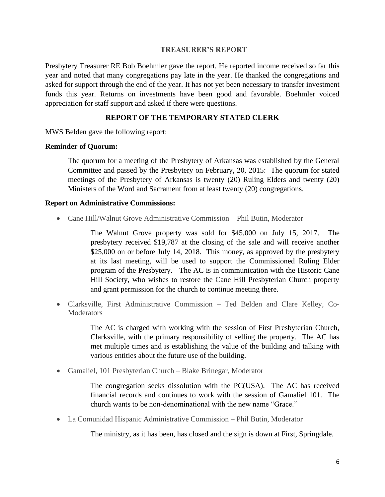#### **TREASURER'S REPORT**

Presbytery Treasurer RE Bob Boehmler gave the report. He reported income received so far this year and noted that many congregations pay late in the year. He thanked the congregations and asked for support through the end of the year. It has not yet been necessary to transfer investment funds this year. Returns on investments have been good and favorable. Boehmler voiced appreciation for staff support and asked if there were questions.

# **REPORT OF THE TEMPORARY STATED CLERK**

MWS Belden gave the following report:

### **Reminder of Quorum:**

The quorum for a meeting of the Presbytery of Arkansas was established by the General Committee and passed by the Presbytery on February, 20, 2015: The quorum for stated meetings of the Presbytery of Arkansas is twenty (20) Ruling Elders and twenty (20) Ministers of the Word and Sacrament from at least twenty (20) congregations.

### **Report on Administrative Commissions:**

• Cane Hill/Walnut Grove Administrative Commission – Phil Butin, Moderator

The Walnut Grove property was sold for \$45,000 on July 15, 2017. The presbytery received \$19,787 at the closing of the sale and will receive another \$25,000 on or before July 14, 2018. This money, as approved by the presbytery at its last meeting, will be used to support the Commissioned Ruling Elder program of the Presbytery. The AC is in communication with the Historic Cane Hill Society, who wishes to restore the Cane Hill Presbyterian Church property and grant permission for the church to continue meeting there.

• Clarksville, First Administrative Commission – Ted Belden and Clare Kelley, Co-**Moderators** 

> The AC is charged with working with the session of First Presbyterian Church, Clarksville, with the primary responsibility of selling the property. The AC has met multiple times and is establishing the value of the building and talking with various entities about the future use of the building.

• Gamaliel, 101 Presbyterian Church – Blake Brinegar, Moderator

The congregation seeks dissolution with the PC(USA). The AC has received financial records and continues to work with the session of Gamaliel 101. The church wants to be non-denominational with the new name "Grace."

• La Comunidad Hispanic Administrative Commission – Phil Butin, Moderator

The ministry, as it has been, has closed and the sign is down at First, Springdale.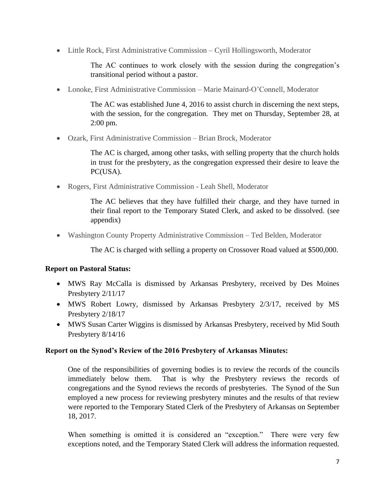• Little Rock, First Administrative Commission – Cyril Hollingsworth, Moderator

The AC continues to work closely with the session during the congregation's transitional period without a pastor.

• Lonoke, First Administrative Commission – Marie Mainard-O'Connell, Moderator

The AC was established June 4, 2016 to assist church in discerning the next steps, with the session, for the congregation. They met on Thursday, September 28, at 2:00 pm.

• Ozark, First Administrative Commission – Brian Brock, Moderator

The AC is charged, among other tasks, with selling property that the church holds in trust for the presbytery, as the congregation expressed their desire to leave the PC(USA).

• Rogers, First Administrative Commission - Leah Shell, Moderator

The AC believes that they have fulfilled their charge, and they have turned in their final report to the Temporary Stated Clerk, and asked to be dissolved. (see appendix)

• Washington County Property Administrative Commission – Ted Belden, Moderator

The AC is charged with selling a property on Crossover Road valued at \$500,000.

# **Report on Pastoral Status:**

- MWS Ray McCalla is dismissed by Arkansas Presbytery, received by Des Moines Presbytery 2/11/17
- MWS Robert Lowry, dismissed by Arkansas Presbytery 2/3/17, received by MS Presbytery 2/18/17
- MWS Susan Carter Wiggins is dismissed by Arkansas Presbytery, received by Mid South Presbytery 8/14/16

# **Report on the Synod's Review of the 2016 Presbytery of Arkansas Minutes:**

One of the responsibilities of governing bodies is to review the records of the councils immediately below them. That is why the Presbytery reviews the records of congregations and the Synod reviews the records of presbyteries. The Synod of the Sun employed a new process for reviewing presbytery minutes and the results of that review were reported to the Temporary Stated Clerk of the Presbytery of Arkansas on September 18, 2017.

When something is omitted it is considered an "exception." There were very few exceptions noted, and the Temporary Stated Clerk will address the information requested.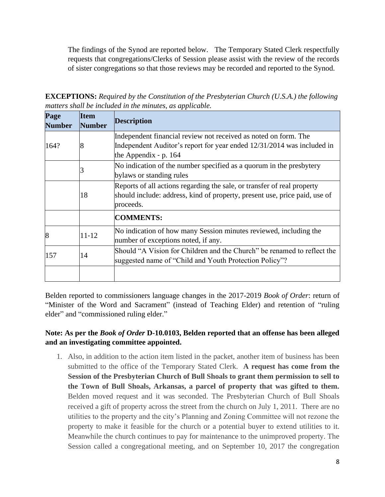The findings of the Synod are reported below. The Temporary Stated Clerk respectfully requests that congregations/Clerks of Session please assist with the review of the records of sister congregations so that those reviews may be recorded and reported to the Synod.

**EXCEPTIONS:** *Required by the Constitution of the Presbyterian Church (U.S.A.) the following matters shall be included in the minutes, as applicable.* 

| Page<br><b>Number</b> | <b>Item</b><br><b>Number</b> | <b>Description</b>                                                                                                                |
|-----------------------|------------------------------|-----------------------------------------------------------------------------------------------------------------------------------|
|                       |                              | Independent financial review not received as noted on form. The                                                                   |
| 164?                  | 8                            | Independent Auditor's report for year ended 12/31/2014 was included in<br>the Appendix - $p. 164$                                 |
|                       |                              | No indication of the number specified as a quorum in the presbytery<br>bylaws or standing rules                                   |
|                       |                              | Reports of all actions regarding the sale, or transfer of real property                                                           |
|                       | 18                           | should include: address, kind of property, present use, price paid, use of<br>proceeds.                                           |
|                       |                              | <b>COMMENTS:</b>                                                                                                                  |
| 8                     | $11 - 12$                    | No indication of how many Session minutes reviewed, including the<br>number of exceptions noted, if any.                          |
| 157                   | 14                           | Should "A Vision for Children and the Church" be renamed to reflect the<br>suggested name of "Child and Youth Protection Policy"? |
|                       |                              |                                                                                                                                   |

Belden reported to commissioners language changes in the 2017-2019 *Book of Order*: return of "Minister of the Word and Sacrament" (instead of Teaching Elder) and retention of "ruling elder" and "commissioned ruling elder."

# **Note: As per the** *Book of Order* **D-10.0103, Belden reported that an offense has been alleged and an investigating committee appointed.**

1. Also, in addition to the action item listed in the packet, another item of business has been submitted to the office of the Temporary Stated Clerk. **A request has come from the Session of the Presbyterian Church of Bull Shoals to grant them permission to sell to the Town of Bull Shoals, Arkansas, a parcel of property that was gifted to them.** Belden moved request and it was seconded. The Presbyterian Church of Bull Shoals received a gift of property across the street from the church on July 1, 2011. There are no utilities to the property and the city's Planning and Zoning Committee will not rezone the property to make it feasible for the church or a potential buyer to extend utilities to it. Meanwhile the church continues to pay for maintenance to the unimproved property. The Session called a congregational meeting, and on September 10, 2017 the congregation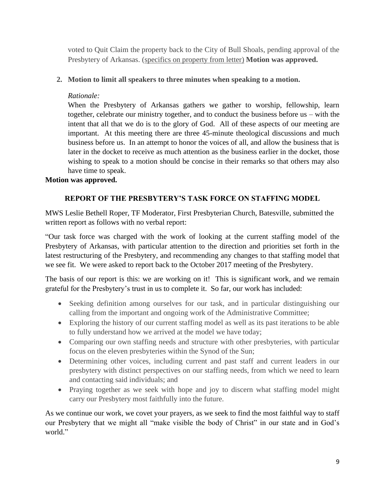voted to Quit Claim the property back to the City of Bull Shoals, pending approval of the Presbytery of Arkansas. (specifics on property from letter) **Motion was approved.**

# **2. Motion to limit all speakers to three minutes when speaking to a motion.**

### *Rationale:*

When the Presbytery of Arkansas gathers we gather to worship, fellowship, learn together, celebrate our ministry together, and to conduct the business before us – with the intent that all that we do is to the glory of God. All of these aspects of our meeting are important. At this meeting there are three 45-minute theological discussions and much business before us. In an attempt to honor the voices of all, and allow the business that is later in the docket to receive as much attention as the business earlier in the docket, those wishing to speak to a motion should be concise in their remarks so that others may also have time to speak.

### **Motion was approved.**

# **REPORT OF THE PRESBYTERY'S TASK FORCE ON STAFFING MODEL**

MWS Leslie Bethell Roper, TF Moderator, First Presbyterian Church, Batesville, submitted the written report as follows with no verbal report:

"Our task force was charged with the work of looking at the current staffing model of the Presbytery of Arkansas, with particular attention to the direction and priorities set forth in the latest restructuring of the Presbytery, and recommending any changes to that staffing model that we see fit. We were asked to report back to the October 2017 meeting of the Presbytery.

The basis of our report is this: we are working on it! This is significant work, and we remain grateful for the Presbytery's trust in us to complete it. So far, our work has included:

- Seeking definition among ourselves for our task, and in particular distinguishing our calling from the important and ongoing work of the Administrative Committee;
- Exploring the history of our current staffing model as well as its past iterations to be able to fully understand how we arrived at the model we have today;
- Comparing our own staffing needs and structure with other presbyteries, with particular focus on the eleven presbyteries within the Synod of the Sun;
- Determining other voices, including current and past staff and current leaders in our presbytery with distinct perspectives on our staffing needs, from which we need to learn and contacting said individuals; and
- Praying together as we seek with hope and joy to discern what staffing model might carry our Presbytery most faithfully into the future.

As we continue our work, we covet your prayers, as we seek to find the most faithful way to staff our Presbytery that we might all "make visible the body of Christ" in our state and in God's world."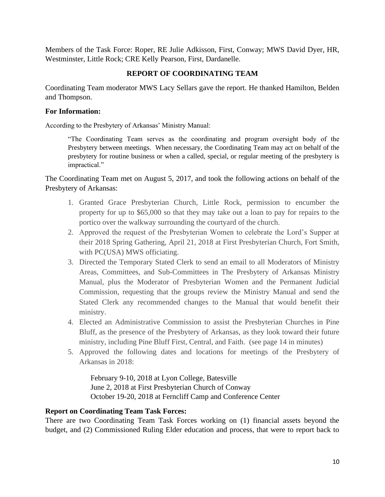Members of the Task Force: Roper, RE Julie Adkisson, First, Conway; MWS David Dyer, HR, Westminster, Little Rock; CRE Kelly Pearson, First, Dardanelle.

# **REPORT OF COORDINATING TEAM**

Coordinating Team moderator MWS Lacy Sellars gave the report. He thanked Hamilton, Belden and Thompson.

### **For Information:**

According to the Presbytery of Arkansas' Ministry Manual:

"The Coordinating Team serves as the coordinating and program oversight body of the Presbytery between meetings. When necessary, the Coordinating Team may act on behalf of the presbytery for routine business or when a called, special, or regular meeting of the presbytery is impractical."

The Coordinating Team met on August 5, 2017, and took the following actions on behalf of the Presbytery of Arkansas:

- 1. Granted Grace Presbyterian Church, Little Rock, permission to encumber the property for up to \$65,000 so that they may take out a loan to pay for repairs to the portico over the walkway surrounding the courtyard of the church.
- 2. Approved the request of the Presbyterian Women to celebrate the Lord's Supper at their 2018 Spring Gathering, April 21, 2018 at First Presbyterian Church, Fort Smith, with PC(USA) MWS officiating.
- 3. Directed the Temporary Stated Clerk to send an email to all Moderators of Ministry Areas, Committees, and Sub-Committees in The Presbytery of Arkansas Ministry Manual, plus the Moderator of Presbyterian Women and the Permanent Judicial Commission, requesting that the groups review the Ministry Manual and send the Stated Clerk any recommended changes to the Manual that would benefit their ministry.
- 4. Elected an Administrative Commission to assist the Presbyterian Churches in Pine Bluff, as the presence of the Presbytery of Arkansas, as they look toward their future ministry, including Pine Bluff First, Central, and Faith. (see page 14 in minutes)
- 5. Approved the following dates and locations for meetings of the Presbytery of Arkansas in 2018:

February 9-10, 2018 at Lyon College, Batesville June 2, 2018 at First Presbyterian Church of Conway October 19-20, 2018 at Ferncliff Camp and Conference Center

# **Report on Coordinating Team Task Forces:**

There are two Coordinating Team Task Forces working on (1) financial assets beyond the budget, and (2) Commissioned Ruling Elder education and process, that were to report back to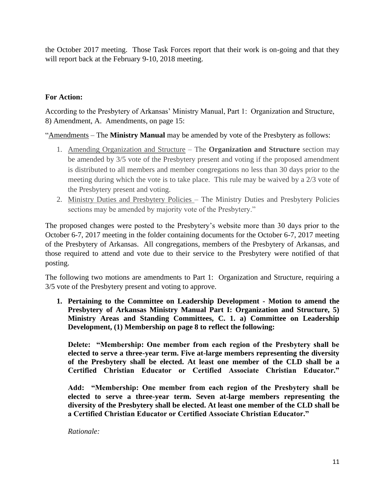the October 2017 meeting. Those Task Forces report that their work is on-going and that they will report back at the February 9-10, 2018 meeting.

# **For Action:**

According to the Presbytery of Arkansas' Ministry Manual, Part 1: Organization and Structure, 8) Amendment, A. Amendments, on page 15:

"Amendments – The **Ministry Manual** may be amended by vote of the Presbytery as follows:

- 1. Amending Organization and Structure The **Organization and Structure** section may be amended by 3/5 vote of the Presbytery present and voting if the proposed amendment is distributed to all members and member congregations no less than 30 days prior to the meeting during which the vote is to take place. This rule may be waived by a 2/3 vote of the Presbytery present and voting.
- 2. Ministry Duties and Presbytery Policies The Ministry Duties and Presbytery Policies sections may be amended by majority vote of the Presbytery."

The proposed changes were posted to the Presbytery's website more than 30 days prior to the October 6-7, 2017 meeting in the folder containing documents for the October 6-7, 2017 meeting of the Presbytery of Arkansas. All congregations, members of the Presbytery of Arkansas, and those required to attend and vote due to their service to the Presbytery were notified of that posting.

The following two motions are amendments to Part 1: Organization and Structure, requiring a 3/5 vote of the Presbytery present and voting to approve.

**1. Pertaining to the Committee on Leadership Development - Motion to amend the Presbytery of Arkansas Ministry Manual Part I: Organization and Structure, 5) Ministry Areas and Standing Committees, C. 1. a) Committee on Leadership Development, (1) Membership on page 8 to reflect the following:** 

**Delete: "Membership: One member from each region of the Presbytery shall be elected to serve a three-year term. Five at-large members representing the diversity of the Presbytery shall be elected. At least one member of the CLD shall be a Certified Christian Educator or Certified Associate Christian Educator."**

**Add: "Membership: One member from each region of the Presbytery shall be elected to serve a three-year term. Seven at-large members representing the diversity of the Presbytery shall be elected. At least one member of the CLD shall be a Certified Christian Educator or Certified Associate Christian Educator."** 

*Rationale:*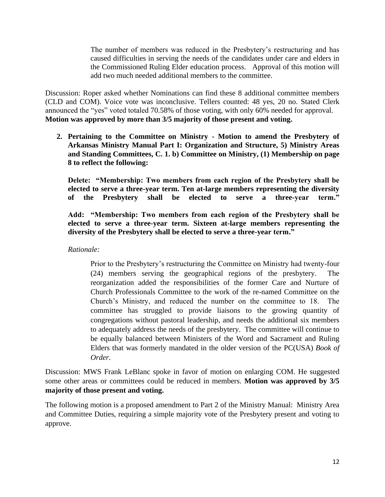The number of members was reduced in the Presbytery's restructuring and has caused difficulties in serving the needs of the candidates under care and elders in the Commissioned Ruling Elder education process. Approval of this motion will add two much needed additional members to the committee.

Discussion: Roper asked whether Nominations can find these 8 additional committee members (CLD and COM). Voice vote was inconclusive. Tellers counted: 48 yes, 20 no. Stated Clerk announced the "yes" voted totaled 70.58% of those voting, with only 60% needed for approval. **Motion was approved by more than 3/5 majority of those present and voting.**

**2. Pertaining to the Committee on Ministry - Motion to amend the Presbytery of Arkansas Ministry Manual Part I: Organization and Structure, 5) Ministry Areas and Standing Committees, C. 1. b) Committee on Ministry, (1) Membership on page 8 to reflect the following:** 

**Delete: "Membership: Two members from each region of the Presbytery shall be elected to serve a three-year term. Ten at-large members representing the diversity of the Presbytery shall be elected to serve a three-year term."**

**Add: "Membership: Two members from each region of the Presbytery shall be elected to serve a three-year term. Sixteen at-large members representing the diversity of the Presbytery shall be elected to serve a three-year term."** 

*Rationale:* 

Prior to the Presbytery's restructuring the Committee on Ministry had twenty-four  $(24)$  members serving the geographical regions of the presbytery. reorganization added the responsibilities of the former Care and Nurture of Church Professionals Committee to the work of the re-named Committee on the Church's Ministry, and reduced the number on the committee to 18. The committee has struggled to provide liaisons to the growing quantity of congregations without pastoral leadership, and needs the additional six members to adequately address the needs of the presbytery. The committee will continue to be equally balanced between Ministers of the Word and Sacrament and Ruling Elders that was formerly mandated in the older version of the PC(USA) *Book of Order*.

Discussion: MWS Frank LeBlanc spoke in favor of motion on enlarging COM. He suggested some other areas or committees could be reduced in members. **Motion was approved by 3/5 majority of those present and voting.**

The following motion is a proposed amendment to Part 2 of the Ministry Manual: Ministry Area and Committee Duties, requiring a simple majority vote of the Presbytery present and voting to approve.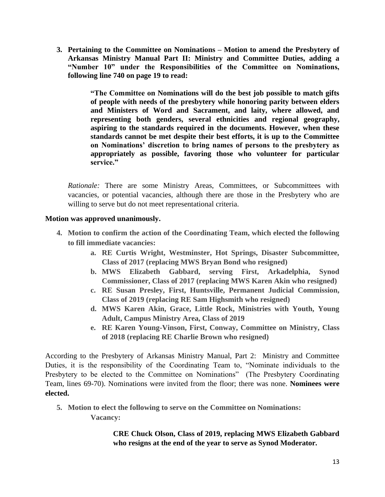**3. Pertaining to the Committee on Nominations – Motion to amend the Presbytery of Arkansas Ministry Manual Part II: Ministry and Committee Duties, adding a "Number 10" under the Responsibilities of the Committee on Nominations, following line 740 on page 19 to read:** 

> **"The Committee on Nominations will do the best job possible to match gifts of people with needs of the presbytery while honoring parity between elders and Ministers of Word and Sacrament, and laity, where allowed, and representing both genders, several ethnicities and regional geography, aspiring to the standards required in the documents. However, when these standards cannot be met despite their best efforts, it is up to the Committee on Nominations' discretion to bring names of persons to the presbytery as appropriately as possible, favoring those who volunteer for particular service."**

*Rationale:* There are some Ministry Areas, Committees, or Subcommittees with vacancies, or potential vacancies, although there are those in the Presbytery who are willing to serve but do not meet representational criteria.

### **Motion was approved unanimously.**

- **4. Motion to confirm the action of the Coordinating Team, which elected the following to fill immediate vacancies:**
	- **a. RE Curtis Wright, Westminster, Hot Springs, Disaster Subcommittee, Class of 2017 (replacing MWS Bryan Bond who resigned)**
	- **b. MWS Elizabeth Gabbard, serving First, Arkadelphia, Synod Commissioner, Class of 2017 (replacing MWS Karen Akin who resigned)**
	- **c. RE Susan Presley, First, Huntsville, Permanent Judicial Commission, Class of 2019 (replacing RE Sam Highsmith who resigned)**
	- **d. MWS Karen Akin, Grace, Little Rock, Ministries with Youth, Young Adult, Campus Ministry Area, Class of 2019**
	- **e. RE Karen Young-Vinson, First, Conway, Committee on Ministry, Class of 2018 (replacing RE Charlie Brown who resigned)**

According to the Presbytery of Arkansas Ministry Manual, Part 2: Ministry and Committee Duties, it is the responsibility of the Coordinating Team to, "Nominate individuals to the Presbytery to be elected to the Committee on Nominations" (The Presbytery Coordinating Team, lines 69-70). Nominations were invited from the floor; there was none. **Nominees were elected.**

**5. Motion to elect the following to serve on the Committee on Nominations: Vacancy:** 

> **CRE Chuck Olson, Class of 2019, replacing MWS Elizabeth Gabbard who resigns at the end of the year to serve as Synod Moderator.**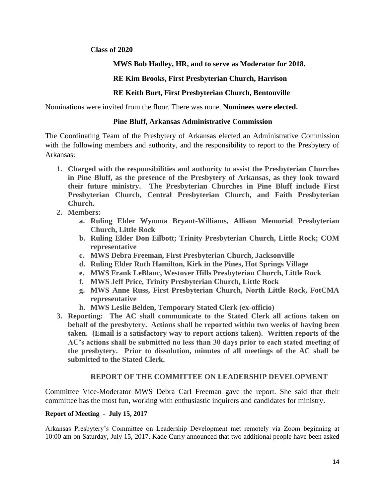### **Class of 2020**

### **MWS Bob Hadley, HR, and to serve as Moderator for 2018.**

### **RE Kim Brooks, First Presbyterian Church, Harrison**

### **RE Keith Burt, First Presbyterian Church, Bentonville**

Nominations were invited from the floor. There was none. **Nominees were elected.**

#### **Pine Bluff, Arkansas Administrative Commission**

The Coordinating Team of the Presbytery of Arkansas elected an Administrative Commission with the following members and authority, and the responsibility to report to the Presbytery of Arkansas:

- **1. Charged with the responsibilities and authority to assist the Presbyterian Churches in Pine Bluff, as the presence of the Presbytery of Arkansas, as they look toward their future ministry. The Presbyterian Churches in Pine Bluff include First Presbyterian Church, Central Presbyterian Church, and Faith Presbyterian Church.**
- **2. Members:**
	- **a. Ruling Elder Wynona Bryant-Williams, Allison Memorial Presbyterian Church, Little Rock**
	- **b. Ruling Elder Don Eilbott; Trinity Presbyterian Church, Little Rock; COM representative**
	- **c. MWS Debra Freeman, First Presbyterian Church, Jacksonville**
	- **d. Ruling Elder Ruth Hamilton, Kirk in the Pines, Hot Springs Village**
	- **e. MWS Frank LeBlanc, Westover Hills Presbyterian Church, Little Rock**
	- **f. MWS Jeff Price, Trinity Presbyterian Church, Little Rock**
	- **g. MWS Anne Russ, First Presbyterian Church, North Little Rock, FotCMA representative**
	- **h. MWS Leslie Belden, Temporary Stated Clerk (ex-officio)**
- **3. Reporting: The AC shall communicate to the Stated Clerk all actions taken on behalf of the presbytery. Actions shall be reported within two weeks of having been taken. (Email is a satisfactory way to report actions taken). Written reports of the AC's actions shall be submitted no less than 30 days prior to each stated meeting of the presbytery. Prior to dissolution, minutes of all meetings of the AC shall be submitted to the Stated Clerk.**

### **REPORT OF THE COMMITTEE ON LEADERSHIP DEVELOPMENT**

Committee Vice-Moderator MWS Debra Carl Freeman gave the report. She said that their committee has the most fun, working with enthusiastic inquirers and candidates for ministry.

#### **Report of Meeting - July 15, 2017**

Arkansas Presbytery's Committee on Leadership Development met remotely via Zoom beginning at 10:00 am on Saturday, July 15, 2017. Kade Curry announced that two additional people have been asked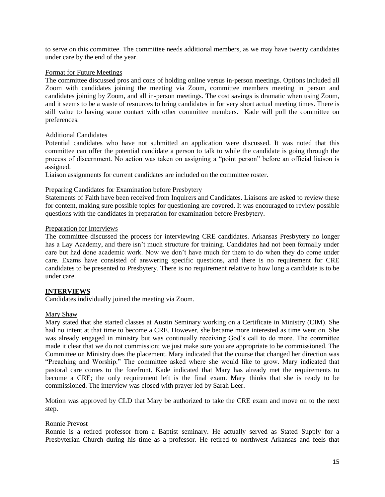to serve on this committee. The committee needs additional members, as we may have twenty candidates under care by the end of the year.

#### Format for Future Meetings

The committee discussed pros and cons of holding online versus in-person meetings. Options included all Zoom with candidates joining the meeting via Zoom, committee members meeting in person and candidates joining by Zoom, and all in-person meetings. The cost savings is dramatic when using Zoom, and it seems to be a waste of resources to bring candidates in for very short actual meeting times. There is still value to having some contact with other committee members. Kade will poll the committee on preferences.

#### Additional Candidates

Potential candidates who have not submitted an application were discussed. It was noted that this committee can offer the potential candidate a person to talk to while the candidate is going through the process of discernment. No action was taken on assigning a "point person" before an official liaison is assigned.

Liaison assignments for current candidates are included on the committee roster.

#### Preparing Candidates for Examination before Presbytery

Statements of Faith have been received from Inquirers and Candidates. Liaisons are asked to review these for content, making sure possible topics for questioning are covered. It was encouraged to review possible questions with the candidates in preparation for examination before Presbytery.

#### Preparation for Interviews

The committee discussed the process for interviewing CRE candidates. Arkansas Presbytery no longer has a Lay Academy, and there isn't much structure for training. Candidates had not been formally under care but had done academic work. Now we don't have much for them to do when they do come under care. Exams have consisted of answering specific questions, and there is no requirement for CRE candidates to be presented to Presbytery. There is no requirement relative to how long a candidate is to be under care.

#### **INTERVIEWS**

Candidates individually joined the meeting via Zoom.

#### Mary Shaw

Mary stated that she started classes at Austin Seminary working on a Certificate in Ministry (CIM). She had no intent at that time to become a CRE. However, she became more interested as time went on. She was already engaged in ministry but was continually receiving God's call to do more. The committee made it clear that we do not commission; we just make sure you are appropriate to be commissioned. The Committee on Ministry does the placement. Mary indicated that the course that changed her direction was "Preaching and Worship." The committee asked where she would like to grow. Mary indicated that pastoral care comes to the forefront. Kade indicated that Mary has already met the requirements to become a CRE; the only requirement left is the final exam. Mary thinks that she is ready to be commissioned. The interview was closed with prayer led by Sarah Leer.

Motion was approved by CLD that Mary be authorized to take the CRE exam and move on to the next step.

#### Ronnie Prevost

Ronnie is a retired professor from a Baptist seminary. He actually served as Stated Supply for a Presbyterian Church during his time as a professor. He retired to northwest Arkansas and feels that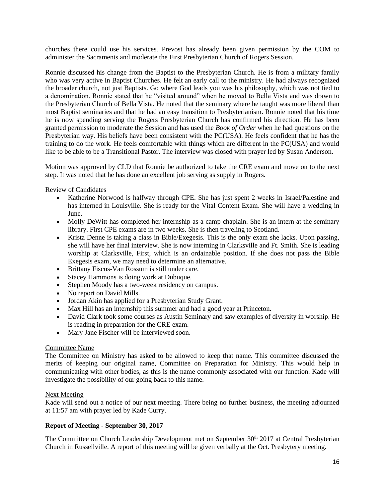churches there could use his services. Prevost has already been given permission by the COM to administer the Sacraments and moderate the First Presbyterian Church of Rogers Session.

Ronnie discussed his change from the Baptist to the Presbyterian Church. He is from a military family who was very active in Baptist Churches. He felt an early call to the ministry. He had always recognized the broader church, not just Baptists. Go where God leads you was his philosophy, which was not tied to a denomination. Ronnie stated that he "visited around" when he moved to Bella Vista and was drawn to the Presbyterian Church of Bella Vista. He noted that the seminary where he taught was more liberal than most Baptist seminaries and that he had an easy transition to Presbyterianism. Ronnie noted that his time he is now spending serving the Rogers Presbyterian Church has confirmed his direction. He has been granted permission to moderate the Session and has used the *Book of Order* when he had questions on the Presbyterian way. His beliefs have been consistent with the PC(USA). He feels confident that he has the training to do the work. He feels comfortable with things which are different in the PC(USA) and would like to be able to be a Transitional Pastor. The interview was closed with prayer led by Susan Anderson.

Motion was approved by CLD that Ronnie be authorized to take the CRE exam and move on to the next step. It was noted that he has done an excellent job serving as supply in Rogers.

Review of Candidates

- Katherine Norwood is halfway through CPE. She has just spent 2 weeks in Israel/Palestine and has interned in Louisville. She is ready for the Vital Content Exam. She will have a wedding in June.
- Molly DeWitt has completed her internship as a camp chaplain. She is an intern at the seminary library. First CPE exams are in two weeks. She is then traveling to Scotland.
- Krista Denne is taking a class in Bible/Exegesis. This is the only exam she lacks. Upon passing, she will have her final interview. She is now interning in Clarksville and Ft. Smith. She is leading worship at Clarksville, First, which is an ordainable position. If she does not pass the Bible Exegesis exam, we may need to determine an alternative.
- Brittany Fiscus-Van Rossum is still under care.
- Stacey Hammons is doing work at Dubuque.
- Stephen Moody has a two-week residency on campus.
- No report on David Mills.
- Jordan Akin has applied for a Presbyterian Study Grant.
- Max Hill has an internship this summer and had a good year at Princeton.
- David Clark took some courses as Austin Seminary and saw examples of diversity in worship. He is reading in preparation for the CRE exam.
- Mary Jane Fischer will be interviewed soon.

#### Committee Name

The Committee on Ministry has asked to be allowed to keep that name. This committee discussed the merits of keeping our original name, Committee on Preparation for Ministry. This would help in communicating with other bodies, as this is the name commonly associated with our function. Kade will investigate the possibility of our going back to this name.

#### Next Meeting

Kade will send out a notice of our next meeting. There being no further business, the meeting adjourned at 11:57 am with prayer led by Kade Curry.

#### **Report of Meeting - September 30, 2017**

The Committee on Church Leadership Development met on September 30<sup>th</sup> 2017 at Central Presbyterian Church in Russellville. A report of this meeting will be given verbally at the Oct. Presbytery meeting.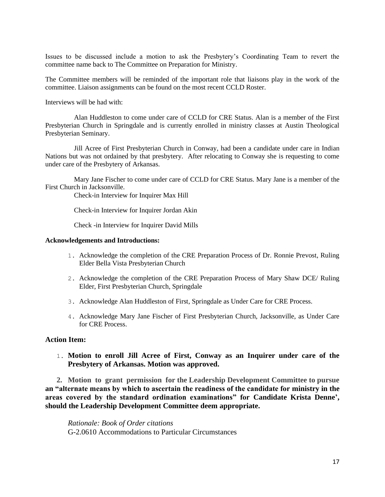Issues to be discussed include a motion to ask the Presbytery's Coordinating Team to revert the committee name back to The Committee on Preparation for Ministry.

The Committee members will be reminded of the important role that liaisons play in the work of the committee. Liaison assignments can be found on the most recent CCLD Roster.

Interviews will be had with:

Alan Huddleston to come under care of CCLD for CRE Status. Alan is a member of the First Presbyterian Church in Springdale and is currently enrolled in ministry classes at Austin Theological Presbyterian Seminary.

Jill Acree of First Presbyterian Church in Conway, had been a candidate under care in Indian Nations but was not ordained by that presbytery. After relocating to Conway she is requesting to come under care of the Presbytery of Arkansas.

Mary Jane Fischer to come under care of CCLD for CRE Status. Mary Jane is a member of the First Church in Jacksonville.

Check-in Interview for Inquirer Max Hill

Check-in Interview for Inquirer Jordan Akin

Check -in Interview for Inquirer David Mills

#### **Acknowledgements and Introductions:**

- 1. Acknowledge the completion of the CRE Preparation Process of Dr. Ronnie Prevost, Ruling Elder Bella Vista Presbyterian Church
- 2. Acknowledge the completion of the CRE Preparation Process of Mary Shaw DCE/ Ruling Elder, First Presbyterian Church, Springdale
- 3. Acknowledge Alan Huddleston of First, Springdale as Under Care for CRE Process.
- 4. Acknowledge Mary Jane Fischer of First Presbyterian Church, Jacksonville, as Under Care for CRE Process.

#### **Action Item:**

1. **Motion to enroll Jill Acree of First, Conway as an Inquirer under care of the Presbytery of Arkansas. Motion was approved.**

**2. Motion to grant permission for the Leadership Development Committee to pursue an "alternate means by which to ascertain the readiness of the candidate for ministry in the areas covered by the standard ordination examinations" for Candidate Krista Denne', should the Leadership Development Committee deem appropriate.**

*Rationale: Book of Order citations*  G-2.0610 Accommodations to Particular Circumstances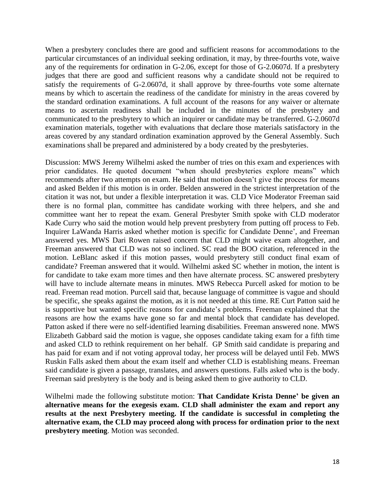When a presbytery concludes there are good and sufficient reasons for accommodations to the particular circumstances of an individual seeking ordination, it may, by three-fourths vote, waive any of the requirements for ordination in G-2.06, except for those of G-2.0607d. If a presbytery judges that there are good and sufficient reasons why a candidate should not be required to satisfy the requirements of G-2.0607d, it shall approve by three-fourths vote some alternate means by which to ascertain the readiness of the candidate for ministry in the areas covered by the standard ordination examinations. A full account of the reasons for any waiver or alternate means to ascertain readiness shall be included in the minutes of the presbytery and communicated to the presbytery to which an inquirer or candidate may be transferred. G-2.0607d examination materials, together with evaluations that declare those materials satisfactory in the areas covered by any standard ordination examination approved by the General Assembly. Such examinations shall be prepared and administered by a body created by the presbyteries.

Discussion: MWS Jeremy Wilhelmi asked the number of tries on this exam and experiences with prior candidates. He quoted document "when should presbyteries explore means" which recommends after two attempts on exam. He said that motion doesn't give the process for means and asked Belden if this motion is in order. Belden answered in the strictest interpretation of the citation it was not, but under a flexible interpretation it was. CLD Vice Moderator Freeman said there is no formal plan, committee has candidate working with three helpers, and she and committee want her to repeat the exam. General Presbyter Smith spoke with CLD moderator Kade Curry who said the motion would help prevent presbytery from putting off process to Feb. Inquirer LaWanda Harris asked whether motion is specific for Candidate Denne', and Freeman answered yes. MWS Dari Rowen raised concern that CLD might waive exam altogether, and Freeman answered that CLD was not so inclined. SC read the BOO citation, referenced in the motion. LeBlanc asked if this motion passes, would presbytery still conduct final exam of candidate? Freeman answered that it would. Wilhelmi asked SC whether in motion, the intent is for candidate to take exam more times and then have alternate process. SC answered presbytery will have to include alternate means in minutes. MWS Rebecca Purcell asked for motion to be read. Freeman read motion. Purcell said that, because language of committee is vague and should be specific, she speaks against the motion, as it is not needed at this time. RE Curt Patton said he is supportive but wanted specific reasons for candidate's problems. Freeman explained that the reasons are how the exams have gone so far and mental block that candidate has developed. Patton asked if there were no self-identified learning disabilities. Freeman answered none. MWS Elizabeth Gabbard said the motion is vague, she opposes candidate taking exam for a fifth time and asked CLD to rethink requirement on her behalf. GP Smith said candidate is preparing and has paid for exam and if not voting approval today, her process will be delayed until Feb. MWS Ruskin Falls asked them about the exam itself and whether CLD is establishing means. Freeman said candidate is given a passage, translates, and answers questions. Falls asked who is the body. Freeman said presbytery is the body and is being asked them to give authority to CLD.

Wilhelmi made the following substitute motion: **That Candidate Krista Denne' be given an alternative means for the exegesis exam. CLD shall administer the exam and report any results at the next Presbytery meeting. If the candidate is successful in completing the alternative exam, the CLD may proceed along with process for ordination prior to the next presbytery meeting**. Motion was seconded.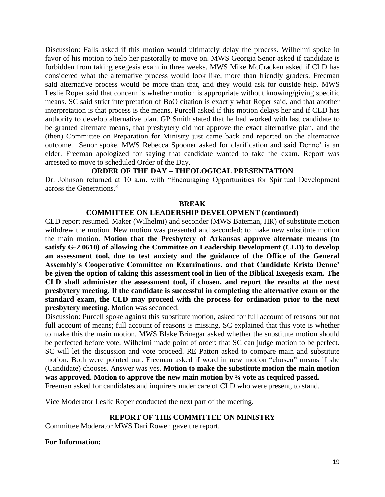Discussion: Falls asked if this motion would ultimately delay the process. Wilhelmi spoke in favor of his motion to help her pastorally to move on. MWS Georgia Senor asked if candidate is forbidden from taking exegesis exam in three weeks. MWS Mike McCracken asked if CLD has considered what the alternative process would look like, more than friendly graders. Freeman said alternative process would be more than that, and they would ask for outside help. MWS Leslie Roper said that concern is whether motion is appropriate without knowing/giving specific means. SC said strict interpretation of BoO citation is exactly what Roper said, and that another interpretation is that process is the means. Purcell asked if this motion delays her and if CLD has authority to develop alternative plan. GP Smith stated that he had worked with last candidate to be granted alternate means, that presbytery did not approve the exact alternative plan, and the (then) Committee on Preparation for Ministry just came back and reported on the alternative outcome. Senor spoke. MWS Rebecca Spooner asked for clarification and said Denne' is an elder. Freeman apologized for saying that candidate wanted to take the exam. Report was arrested to move to scheduled Order of the Day.

### **ORDER OF THE DAY – THEOLOGICAL PRESENTATION**

Dr. Johnson returned at 10 a.m. with "Encouraging Opportunities for Spiritual Development across the Generations."

#### **BREAK**

#### **COMMITTEE ON LEADERSHIP DEVELOPMENT (continued)**

CLD report resumed. Maker (Wilhelmi) and seconder (MWS Bateman, HR) of substitute motion withdrew the motion. New motion was presented and seconded: to make new substitute motion the main motion. **Motion that the Presbytery of Arkansas approve alternate means (to satisfy G-2.0610) of allowing the Committee on Leadership Development (CLD) to develop an assessment tool, due to test anxiety and the guidance of the Office of the General Assembly's Cooperative Committee on Examinations, and that Candidate Krista Denne' be given the option of taking this assessment tool in lieu of the Biblical Exegesis exam. The CLD shall administer the assessment tool, if chosen, and report the results at the next presbytery meeting. If the candidate is successful in completing the alternative exam or the standard exam, the CLD may proceed with the process for ordination prior to the next presbytery meeting.** Motion was seconded.

Discussion: Purcell spoke against this substitute motion, asked for full account of reasons but not full account of means; full account of reasons is missing. SC explained that this vote is whether to make this the main motion. MWS Blake Brinegar asked whether the substitute motion should be perfected before vote. Wilhelmi made point of order: that SC can judge motion to be perfect. SC will let the discussion and vote proceed. RE Patton asked to compare main and substitute motion. Both were pointed out. Freeman asked if word in new motion "chosen" means if she (Candidate) chooses. Answer was yes. **Motion to make the substitute motion the main motion was approved. Motion to approve the new main motion by ¾ vote as required passed.** Freeman asked for candidates and inquirers under care of CLD who were present, to stand.

Vice Moderator Leslie Roper conducted the next part of the meeting.

### **REPORT OF THE COMMITTEE ON MINISTRY**

Committee Moderator MWS Dari Rowen gave the report.

#### **For Information:**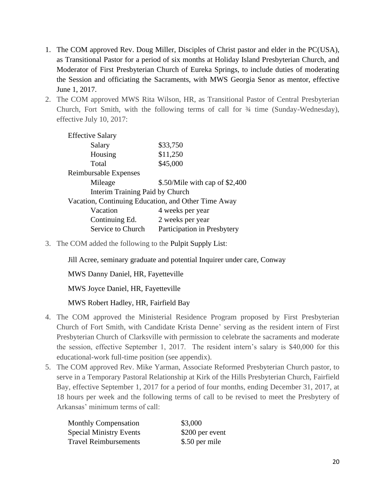- 1. The COM approved Rev. Doug Miller, Disciples of Christ pastor and elder in the PC(USA), as Transitional Pastor for a period of six months at Holiday Island Presbyterian Church, and Moderator of First Presbyterian Church of Eureka Springs, to include duties of moderating the Session and officiating the Sacraments, with MWS Georgia Senor as mentor, effective June 1, 2017.
- 2. The COM approved MWS Rita Wilson, HR, as Transitional Pastor of Central Presbyterian Church, Fort Smith, with the following terms of call for ¾ time (Sunday-Wednesday), effective July 10, 2017:

| <b>Effective Salary</b>                             |                                |  |  |  |  |
|-----------------------------------------------------|--------------------------------|--|--|--|--|
| Salary                                              | \$33,750                       |  |  |  |  |
| Housing                                             | \$11,250                       |  |  |  |  |
| Total                                               | \$45,000                       |  |  |  |  |
| Reimbursable Expenses                               |                                |  |  |  |  |
| Mileage                                             | \$.50/Mile with cap of \$2,400 |  |  |  |  |
| Interim Training Paid by Church                     |                                |  |  |  |  |
| Vacation, Continuing Education, and Other Time Away |                                |  |  |  |  |
| Vacation                                            | 4 weeks per year               |  |  |  |  |
| Continuing Ed.                                      | 2 weeks per year               |  |  |  |  |
| Service to Church                                   | Participation in Presbytery    |  |  |  |  |

3. The COM added the following to the Pulpit Supply List:

Jill Acree, seminary graduate and potential Inquirer under care, Conway

MWS Danny Daniel, HR, Fayetteville

MWS Joyce Daniel, HR, Fayetteville

MWS Robert Hadley, HR, Fairfield Bay

- 4. The COM approved the Ministerial Residence Program proposed by First Presbyterian Church of Fort Smith, with Candidate Krista Denne' serving as the resident intern of First Presbyterian Church of Clarksville with permission to celebrate the sacraments and moderate the session, effective September 1, 2017. The resident intern's salary is \$40,000 for this educational-work full-time position (see appendix).
- 5. The COM approved Rev. Mike Yarman, Associate Reformed Presbyterian Church pastor, to serve in a Temporary Pastoral Relationship at Kirk of the Hills Presbyterian Church, Fairfield Bay, effective September 1, 2017 for a period of four months, ending December 31, 2017, at 18 hours per week and the following terms of call to be revised to meet the Presbytery of Arkansas' minimum terms of call:

| <b>Monthly Compensation</b>    | \$3,000         |
|--------------------------------|-----------------|
| <b>Special Ministry Events</b> | \$200 per event |
| <b>Travel Reimbursements</b>   | \$.50 per mile  |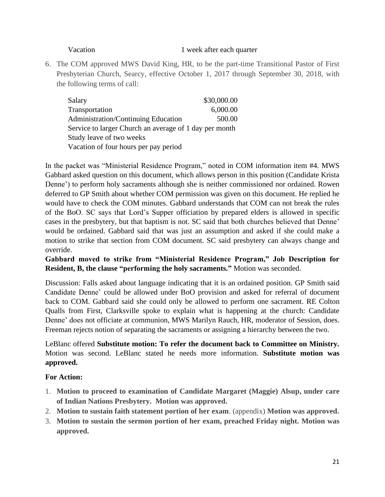#### Vacation 1 week after each quarter

6. The COM approved MWS David King, HR, to be the part-time Transitional Pastor of First Presbyterian Church, Searcy, effective October 1, 2017 through September 30, 2018, with the following terms of call:

| Salary                                                 | \$30,000.00 |  |  |  |
|--------------------------------------------------------|-------------|--|--|--|
| Transportation                                         | 6,000.00    |  |  |  |
| Administration/Continuing Education                    | 500.00      |  |  |  |
| Service to larger Church an average of 1 day per month |             |  |  |  |
| Study leave of two weeks                               |             |  |  |  |
| Vacation of four hours per pay period                  |             |  |  |  |

In the packet was "Ministerial Residence Program," noted in COM information item #4. MWS Gabbard asked question on this document, which allows person in this position (Candidate Krista Denne') to perform holy sacraments although she is neither commissioned nor ordained. Rowen deferred to GP Smith about whether COM permission was given on this document. He replied he would have to check the COM minutes. Gabbard understands that COM can not break the rules of the BoO. SC says that Lord's Supper officiation by prepared elders is allowed in specific cases in the presbytery, but that baptism is not. SC said that both churches believed that Denne' would be ordained. Gabbard said that was just an assumption and asked if she could make a motion to strike that section from COM document. SC said presbytery can always change and override.

# **Gabbard moved to strike from "Ministerial Residence Program," Job Description for Resident, B, the clause "performing the holy sacraments."** Motion was seconded.

Discussion: Falls asked about language indicating that it is an ordained position. GP Smith said Candidate Denne' could be allowed under BoO provision and asked for referral of document back to COM. Gabbard said she could only be allowed to perform one sacrament. RE Colton Qualls from First, Clarksville spoke to explain what is happening at the church: Candidate Denne' does not officiate at communion, MWS Marilyn Rauch, HR, moderator of Session, does. Freeman rejects notion of separating the sacraments or assigning a hierarchy between the two.

LeBlanc offered **Substitute motion: To refer the document back to Committee on Ministry.**  Motion was second. LeBlanc stated he needs more information. **Substitute motion was approved.**

# **For Action:**

- 1. **Motion to proceed to examination of Candidate Margaret (Maggie) Alsup, under care of Indian Nations Presbytery. Motion was approved.**
- 2. **Motion to sustain faith statement portion of her exam**. (appendix) **Motion was approved.**
- 3. **Motion to sustain the sermon portion of her exam, preached Friday night. Motion was approved.**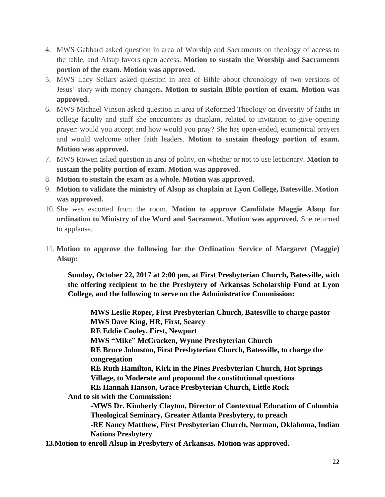- 4. MWS Gabbard asked question in area of Worship and Sacraments on theology of access to the table, and Alsup favors open access. **Motion to sustain the Worship and Sacraments portion of the exam. Motion was approved.**
- 5. MWS Lacy Sellars asked question in area of Bible about chronology of two versions of Jesus' story with money changers**. Motion to sustain Bible portion of exam. Motion was approved.**
- 6. MWS Michael Vinson asked question in area of Reformed Theology on diversity of faiths in college faculty and staff she encounters as chaplain, related to invitation to give opening prayer: would you accept and how would you pray? She has open-ended, ecumenical prayers and would welcome other faith leaders. **Motion to sustain theology portion of exam. Motion was approved.**
- 7. MWS Rowen asked question in area of polity, on whether or not to use lectionary. **Motion to sustain the polity portion of exam. Motion was approved.**
- 8. **Motion to sustain the exam as a whole. Motion was approved.**
- 9. **Motion to validate the ministry of Alsup as chaplain at Lyon College, Batesville. Motion was approved.**
- 10. She was escorted from the room. **Motion to approve Candidate Maggie Alsup for ordination to Ministry of the Word and Sacrament. Motion was approved.** She returned to applause.
- 11. **Motion to approve the following for the Ordination Service of Margaret (Maggie) Alsup:**

**Sunday, October 22, 2017 at 2:00 pm, at First Presbyterian Church, Batesville, with the offering recipient to be the Presbytery of Arkansas Scholarship Fund at Lyon College, and the following to serve on the Administrative Commission:**

**MWS Leslie Roper, First Presbyterian Church, Batesville to charge pastor MWS Dave King, HR, First, Searcy RE Eddie Cooley, First, Newport MWS "Mike" McCracken, Wynne Presbyterian Church RE Bruce Johnston, First Presbyterian Church, Batesville, to charge the congregation RE Ruth Hamilton, Kirk in the Pines Presbyterian Church, Hot Springs Village, to Moderate and propound the constitutional questions RE Hannah Hanson, Grace Presbyterian Church, Little Rock And to sit with the Commission: -MWS Dr. Kimberly Clayton, Director of Contextual Education of Columbia Theological Seminary, Greater Atlanta Presbytery, to preach -RE Nancy Matthew, First Presbyterian Church, Norman, Oklahoma, Indian Nations Presbytery 13.Motion to enroll Alsup in Presbytery of Arkansas. Motion was approved.**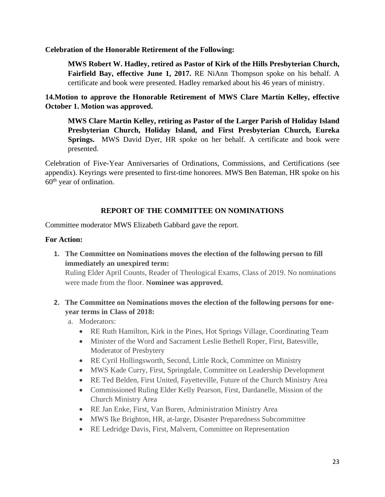### **Celebration of the Honorable Retirement of the Following:**

**MWS Robert W. Hadley, retired as Pastor of Kirk of the Hills Presbyterian Church, Fairfield Bay, effective June 1, 2017.** RE NiAnn Thompson spoke on his behalf. A certificate and book were presented. Hadley remarked about his 46 years of ministry.

**14.Motion to approve the Honorable Retirement of MWS Clare Martin Kelley, effective October 1. Motion was approved.**

**MWS Clare Martin Kelley, retiring as Pastor of the Larger Parish of Holiday Island Presbyterian Church, Holiday Island, and First Presbyterian Church, Eureka Springs.** MWS David Dyer, HR spoke on her behalf. A certificate and book were presented.

Celebration of Five-Year Anniversaries of Ordinations, Commissions, and Certifications (see appendix). Keyrings were presented to first-time honorees. MWS Ben Bateman, HR spoke on his  $60<sup>th</sup>$  year of ordination.

# **REPORT OF THE COMMITTEE ON NOMINATIONS**

Committee moderator MWS Elizabeth Gabbard gave the report.

# **For Action:**

**1. The Committee on Nominations moves the election of the following person to fill immediately an unexpired term:**

Ruling Elder April Counts, Reader of Theological Exams, Class of 2019. No nominations were made from the floor. **Nominee was approved.**

- **2. The Committee on Nominations moves the election of the following persons for oneyear terms in Class of 2018:**
	- a. Moderators:
		- RE Ruth Hamilton, Kirk in the Pines, Hot Springs Village, Coordinating Team
		- Minister of the Word and Sacrament Leslie Bethell Roper, First, Batesville, Moderator of Presbytery
		- RE Cyril Hollingsworth, Second, Little Rock, Committee on Ministry
		- MWS Kade Curry, First, Springdale, Committee on Leadership Development
		- RE Ted Belden, First United, Fayetteville, Future of the Church Ministry Area
		- Commissioned Ruling Elder Kelly Pearson, First, Dardanelle, Mission of the Church Ministry Area
		- RE Jan Enke, First, Van Buren, Administration Ministry Area
		- MWS Ike Brighton, HR, at-large, Disaster Preparedness Subcommittee
		- RE Ledridge Davis, First, Malvern, Committee on Representation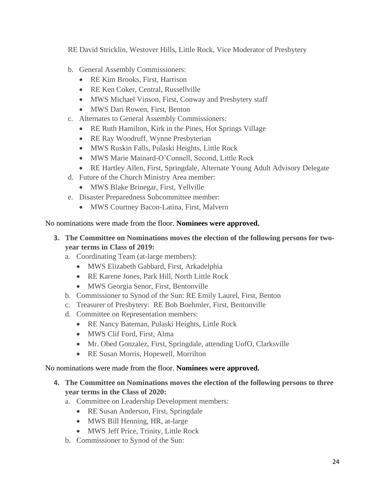RE David Stricklin, Westover Hills, Little Rock, Vice Moderator of Presbytery

- b. General Assembly Commissioners:
	- RE Kim Brooks, First, Harrison
	- RE Ken Coker, Central, Russellville
	- MWS Michael Vinson, First, Conway and Presbytery staff
	- MWS Dari Rowen, First, Benton
- c. Alternates to General Assembly Commissioners:
	- RE Ruth Hamilton, Kirk in the Pines, Hot Springs Village
	- RE Ray Woodruff, Wynne Presbyterian
	- MWS Ruskin Falls, Pulaski Heights, Little Rock
	- MWS Marie Mainard-O'Connell, Second, Little Rock
	- RE Hartley Allen, First, Springdale, Alternate Young Adult Advisory Delegate
- d. Future of the Church Ministry Area member:
	- MWS Blake Brinegar, First, Yellville
- e. Disaster Preparedness Subcommittee member:
	- MWS Courtney Bacon-Latina, First, Malvern

# No nominations were made from the floor. **Nominees were approved.**

- **3. The Committee on Nominations moves the election of the following persons for twoyear terms in Class of 2019:**
	- a. Coordinating Team (at-large members):
		- MWS Elizabeth Gabbard, First, Arkadelphia
		- RE Karene Jones, Park Hill, North Little Rock
		- MWS Georgia Senor, First, Bentonville
	- b. Commissioner to Synod of the Sun: RE Emily Laurel, First, Benton
	- c. Treasurer of Presbytery: RE Bob Boehmler, First, Bentonville
	- d. Committee on Representation members:
		- RE Nancy Bateman, Pulaski Heights, Little Rock
		- MWS Clif Ford, First, Alma
		- Mr. Obed Gonzalez, First, Springdale, attending UofO, Clarksville
		- RE Susan Morris, Hopewell, Morrilton

# No nominations were made from the floor. **Nominees were approved.**

- **4. The Committee on Nominations moves the election of the following persons to three year terms in the Class of 2020:**
	- a. Committee on Leadership Development members:
		- RE Susan Anderson, First, Springdale
		- MWS Bill Henning, HR, at-large
		- MWS Jeff Price, Trinity, Little Rock
	- b. Commissioner to Synod of the Sun: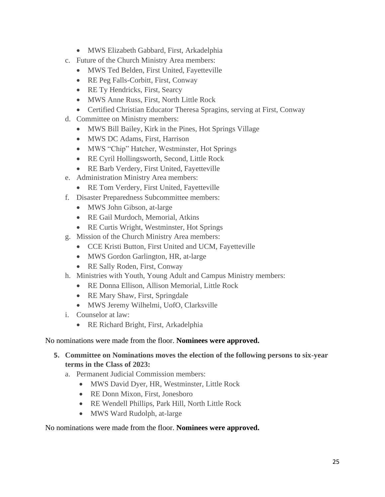- MWS Elizabeth Gabbard, First, Arkadelphia
- c. Future of the Church Ministry Area members:
	- MWS Ted Belden, First United, Fayetteville
	- RE Peg Falls-Corbitt, First, Conway
	- RE Ty Hendricks, First, Searcy
	- MWS Anne Russ, First, North Little Rock
	- Certified Christian Educator Theresa Spragins, serving at First, Conway
- d. Committee on Ministry members:
	- MWS Bill Bailey, Kirk in the Pines, Hot Springs Village
	- MWS DC Adams, First, Harrison
	- MWS "Chip" Hatcher, Westminster, Hot Springs
	- RE Cyril Hollingsworth, Second, Little Rock
	- RE Barb Verdery, First United, Fayetteville
- e. Administration Ministry Area members:
	- RE Tom Verdery, First United, Fayetteville
- f. Disaster Preparedness Subcommittee members:
	- MWS John Gibson, at-large
	- RE Gail Murdoch, Memorial, Atkins
	- RE Curtis Wright, Westminster, Hot Springs
- g. Mission of the Church Ministry Area members:
	- CCE Kristi Button, First United and UCM, Fayetteville
	- MWS Gordon Garlington, HR, at-large
	- RE Sally Roden, First, Conway
- h. Ministries with Youth, Young Adult and Campus Ministry members:
	- RE Donna Ellison, Allison Memorial, Little Rock
	- RE Mary Shaw, First, Springdale
	- MWS Jeremy Wilhelmi, UofO, Clarksville
- i. Counselor at law:
	- RE Richard Bright, First, Arkadelphia

# No nominations were made from the floor. **Nominees were approved.**

- **5. Committee on Nominations moves the election of the following persons to six-year terms in the Class of 2023:**
	- a. Permanent Judicial Commission members:
		- MWS David Dyer, HR, Westminster, Little Rock
		- RE Donn Mixon, First, Jonesboro
		- RE Wendell Phillips, Park Hill, North Little Rock
		- MWS Ward Rudolph, at-large

# No nominations were made from the floor. **Nominees were approved.**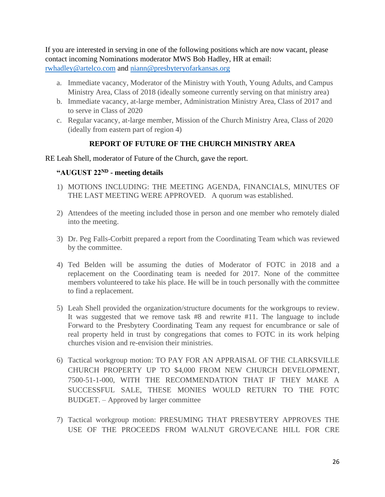If you are interested in serving in one of the following positions which are now vacant, please contact incoming Nominations moderator MWS Bob Hadley, HR at email: [rwhadley@artelco.com](mailto:rwhadley@artelco.com) and [niann@presbyteryofarkansas.org](mailto:niann@presbyteryofarkansas.org) 

- a. Immediate vacancy, Moderator of the Ministry with Youth, Young Adults, and Campus Ministry Area, Class of 2018 (ideally someone currently serving on that ministry area)
- b. Immediate vacancy, at-large member, Administration Ministry Area, Class of 2017 and to serve in Class of 2020
- c. Regular vacancy, at-large member, Mission of the Church Ministry Area, Class of 2020 (ideally from eastern part of region 4)

# **REPORT OF FUTURE OF THE CHURCH MINISTRY AREA**

### RE Leah Shell, moderator of Future of the Church, gave the report.

# **"AUGUST 22ND - meeting details**

- 1) MOTIONS INCLUDING: THE MEETING AGENDA, FINANCIALS, MINUTES OF THE LAST MEETING WERE APPROVED. A quorum was established.
- 2) Attendees of the meeting included those in person and one member who remotely dialed into the meeting.
- 3) Dr. Peg Falls-Corbitt prepared a report from the Coordinating Team which was reviewed by the committee.
- 4) Ted Belden will be assuming the duties of Moderator of FOTC in 2018 and a replacement on the Coordinating team is needed for 2017. None of the committee members volunteered to take his place. He will be in touch personally with the committee to find a replacement.
- 5) Leah Shell provided the organization/structure documents for the workgroups to review. It was suggested that we remove task #8 and rewrite #11. The language to include Forward to the Presbytery Coordinating Team any request for encumbrance or sale of real property held in trust by congregations that comes to FOTC in its work helping churches vision and re-envision their ministries.
- 6) Tactical workgroup motion: TO PAY FOR AN APPRAISAL OF THE CLARKSVILLE CHURCH PROPERTY UP TO \$4,000 FROM NEW CHURCH DEVELOPMENT, 7500-51-1-000, WITH THE RECOMMENDATION THAT IF THEY MAKE A SUCCESSFUL SALE, THESE MONIES WOULD RETURN TO THE FOTC BUDGET. – Approved by larger committee
- 7) Tactical workgroup motion: PRESUMING THAT PRESBYTERY APPROVES THE USE OF THE PROCEEDS FROM WALNUT GROVE/CANE HILL FOR CRE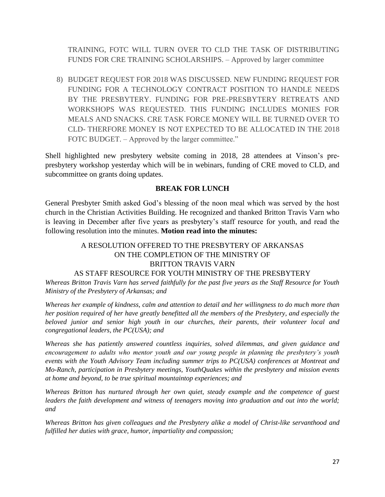TRAINING, FOTC WILL TURN OVER TO CLD THE TASK OF DISTRIBUTING FUNDS FOR CRE TRAINING SCHOLARSHIPS. – Approved by larger committee

8) BUDGET REQUEST FOR 2018 WAS DISCUSSED. NEW FUNDING REQUEST FOR FUNDING FOR A TECHNOLOGY CONTRACT POSITION TO HANDLE NEEDS BY THE PRESBYTERY. FUNDING FOR PRE-PRESBYTERY RETREATS AND WORKSHOPS WAS REQUESTED. THIS FUNDING INCLUDES MONIES FOR MEALS AND SNACKS. CRE TASK FORCE MONEY WILL BE TURNED OVER TO CLD- THERFORE MONEY IS NOT EXPECTED TO BE ALLOCATED IN THE 2018 FOTC BUDGET. – Approved by the larger committee."

Shell highlighted new presbytery website coming in 2018, 28 attendees at Vinson's prepresbytery workshop yesterday which will be in webinars, funding of CRE moved to CLD, and subcommittee on grants doing updates.

### **BREAK FOR LUNCH**

General Presbyter Smith asked God's blessing of the noon meal which was served by the host church in the Christian Activities Building. He recognized and thanked Britton Travis Varn who is leaving in December after five years as presbytery's staff resource for youth, and read the following resolution into the minutes. **Motion read into the minutes:**

# A RESOLUTION OFFERED TO THE PRESBYTERY OF ARKANSAS ON THE COMPLETION OF THE MINISTRY OF BRITTON TRAVIS VARN

### AS STAFF RESOURCE FOR YOUTH MINISTRY OF THE PRESBYTERY

*Whereas Britton Travis Varn has served faithfully for the past five years as the Staff Resource for Youth Ministry of the Presbytery of Arkansas; and*

*Whereas her example of kindness, calm and attention to detail and her willingness to do much more than her position required of her have greatly benefitted all the members of the Presbytery, and especially the beloved junior and senior high youth in our churches, their parents, their volunteer local and congregational leaders, the PC(USA); and*

*Whereas she has patiently answered countless inquiries, solved dilemmas, and given guidance and encouragement to adults who mentor youth and our young people in planning the presbytery's youth events with the Youth Advisory Team including summer trips to PC(USA) conferences at Montreat and Mo-Ranch, participation in Presbytery meetings, YouthQuakes within the presbytery and mission events at home and beyond, to be true spiritual mountaintop experiences; and*

*Whereas Britton has nurtured through her own quiet, steady example and the competence of guest leaders the faith development and witness of teenagers moving into graduation and out into the world; and*

*Whereas Britton has given colleagues and the Presbytery alike a model of Christ-like servanthood and fulfilled her duties with grace, humor, impartiality and compassion;*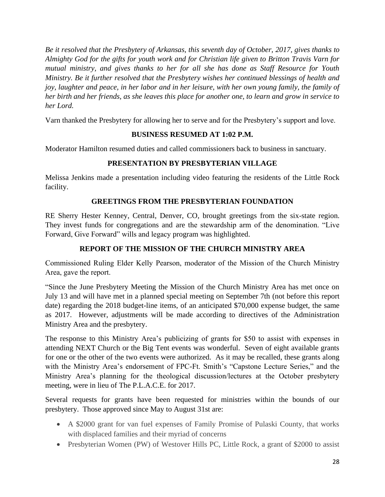*Be it resolved that the Presbytery of Arkansas, this seventh day of October, 2017, gives thanks to Almighty God for the gifts for youth work and for Christian life given to Britton Travis Varn for mutual ministry, and gives thanks to her for all she has done as Staff Resource for Youth Ministry. Be it further resolved that the Presbytery wishes her continued blessings of health and joy, laughter and peace, in her labor and in her leisure, with her own young family, the family of her birth and her friends, as she leaves this place for another one, to learn and grow in service to her Lord.*

Varn thanked the Presbytery for allowing her to serve and for the Presbytery's support and love.

# **BUSINESS RESUMED AT 1:02 P.M.**

Moderator Hamilton resumed duties and called commissioners back to business in sanctuary.

# **PRESENTATION BY PRESBYTERIAN VILLAGE**

Melissa Jenkins made a presentation including video featuring the residents of the Little Rock facility.

# **GREETINGS FROM THE PRESBYTERIAN FOUNDATION**

RE Sherry Hester Kenney, Central, Denver, CO, brought greetings from the six-state region. They invest funds for congregations and are the stewardship arm of the denomination. "Live Forward, Give Forward" wills and legacy program was highlighted.

# **REPORT OF THE MISSION OF THE CHURCH MINISTRY AREA**

Commissioned Ruling Elder Kelly Pearson, moderator of the Mission of the Church Ministry Area, gave the report.

"Since the June Presbytery Meeting the Mission of the Church Ministry Area has met once on July 13 and will have met in a planned special meeting on September 7th (not before this report date) regarding the 2018 budget-line items, of an anticipated \$70,000 expense budget, the same as 2017. However, adjustments will be made according to directives of the Administration Ministry Area and the presbytery.

The response to this Ministry Area's publicizing of grants for \$50 to assist with expenses in attending NEXT Church or the Big Tent events was wonderful. Seven of eight available grants for one or the other of the two events were authorized. As it may be recalled, these grants along with the Ministry Area's endorsement of FPC-Ft. Smith's "Capstone Lecture Series," and the Ministry Area's planning for the theological discussion/lectures at the October presbytery meeting, were in lieu of The P.L.A.C.E. for 2017.

Several requests for grants have been requested for ministries within the bounds of our presbytery. Those approved since May to August 31st are:

- A \$2000 grant for van fuel expenses of Family Promise of Pulaski County, that works with displaced families and their myriad of concerns
- Presbyterian Women (PW) of Westover Hills PC, Little Rock, a grant of \$2000 to assist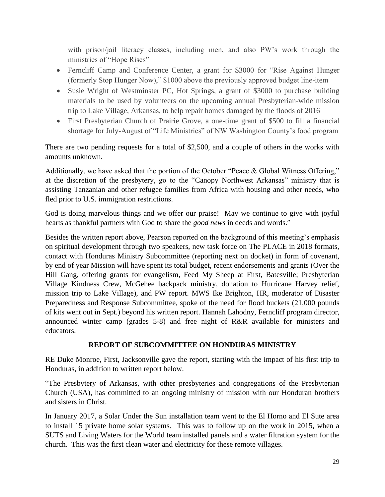with prison/jail literacy classes, including men, and also PW's work through the ministries of "Hope Rises"

- Ferncliff Camp and Conference Center, a grant for \$3000 for "Rise Against Hunger" (formerly Stop Hunger Now)," \$1000 above the previously approved budget line-item
- Susie Wright of Westminster PC, Hot Springs, a grant of \$3000 to purchase building materials to be used by volunteers on the upcoming annual Presbyterian-wide mission trip to Lake Village, Arkansas, to help repair homes damaged by the floods of 2016
- First Presbyterian Church of Prairie Grove, a one-time grant of \$500 to fill a financial shortage for July-August of "Life Ministries" of NW Washington County's food program

There are two pending requests for a total of \$2,500, and a couple of others in the works with amounts unknown.

Additionally, we have asked that the portion of the October "Peace & Global Witness Offering," at the discretion of the presbytery, go to the "Canopy Northwest Arkansas" ministry that is assisting Tanzanian and other refugee families from Africa with housing and other needs, who fled prior to U.S. immigration restrictions.

God is doing marvelous things and we offer our praise! May we continue to give with joyful hearts as thankful partners with God to share the *good news* in deeds and words."

Besides the written report above, Pearson reported on the background of this meeting's emphasis on spiritual development through two speakers, new task force on The PLACE in 2018 formats, contact with Honduras Ministry Subcommittee (reporting next on docket) in form of covenant, by end of year Mission will have spent its total budget, recent endorsements and grants (Over the Hill Gang, offering grants for evangelism, Feed My Sheep at First, Batesville; Presbyterian Village Kindness Crew, McGehee backpack ministry, donation to Hurricane Harvey relief, mission trip to Lake Village), and PW report. MWS Ike Brighton, HR, moderator of Disaster Preparedness and Response Subcommittee, spoke of the need for flood buckets (21,000 pounds of kits went out in Sept.) beyond his written report. Hannah Lahodny, Ferncliff program director, announced winter camp (grades 5-8) and free night of R&R available for ministers and educators.

# **REPORT OF SUBCOMMITTEE ON HONDURAS MINISTRY**

RE Duke Monroe, First, Jacksonville gave the report, starting with the impact of his first trip to Honduras, in addition to written report below.

"The Presbytery of Arkansas, with other presbyteries and congregations of the Presbyterian Church (USA), has committed to an ongoing ministry of mission with our Honduran brothers and sisters in Christ.

In January 2017, a Solar Under the Sun installation team went to the El Horno and El Sute area to install 15 private home solar systems. This was to follow up on the work in 2015, when a SUTS and Living Waters for the World team installed panels and a water filtration system for the church. This was the first clean water and electricity for these remote villages.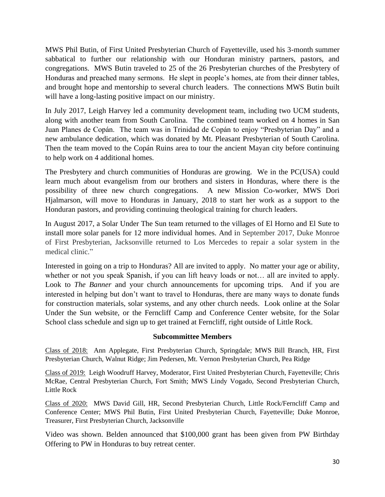MWS Phil Butin, of First United Presbyterian Church of Fayetteville, used his 3-month summer sabbatical to further our relationship with our Honduran ministry partners, pastors, and congregations. MWS Butin traveled to 25 of the 26 Presbyterian churches of the Presbytery of Honduras and preached many sermons. He slept in people's homes, ate from their dinner tables, and brought hope and mentorship to several church leaders. The connections MWS Butin built will have a long-lasting positive impact on our ministry.

In July 2017, Leigh Harvey led a community development team, including two UCM students, along with another team from South Carolina. The combined team worked on 4 homes in San Juan Planes de Copán. The team was in Trinidad de Copán to enjoy "Presbyterian Day" and a new ambulance dedication, which was donated by Mt. Pleasant Presbyterian of South Carolina. Then the team moved to the Copán Ruins area to tour the ancient Mayan city before continuing to help work on 4 additional homes.

The Presbytery and church communities of Honduras are growing. We in the PC(USA) could learn much about evangelism from our brothers and sisters in Honduras, where there is the possibility of three new church congregations. A new Mission Co-worker, MWS Dori Hjalmarson, will move to Honduras in January, 2018 to start her work as a support to the Honduran pastors, and providing continuing theological training for church leaders.

In August 2017, a Solar Under The Sun team returned to the villages of El Horno and El Sute to install more solar panels for 12 more individual homes. And in September 2017, Duke Monroe of First Presbyterian, Jacksonville returned to Los Mercedes to repair a solar system in the medical clinic."

Interested in going on a trip to Honduras? All are invited to apply. No matter your age or ability, whether or not you speak Spanish, if you can lift heavy loads or not… all are invited to apply. Look to *The Banner* and your church announcements for upcoming trips. And if you are interested in helping but don't want to travel to Honduras, there are many ways to donate funds for construction materials, solar systems, and any other church needs. Look online at the Solar Under the Sun website, or the Ferncliff Camp and Conference Center website, for the Solar School class schedule and sign up to get trained at Ferncliff, right outside of Little Rock.

### **Subcommittee Members**

Class of 2018: Ann Applegate, First Presbyterian Church, Springdale; MWS Bill Branch, HR, First Presbyterian Church, Walnut Ridge; Jim Pedersen, Mt. Vernon Presbyterian Church, Pea Ridge

Class of 2019: Leigh Woodruff Harvey, Moderator, First United Presbyterian Church, Fayetteville; Chris McRae, Central Presbyterian Church, Fort Smith; MWS Lindy Vogado, Second Presbyterian Church, Little Rock

Class of 2020: MWS David Gill, HR, Second Presbyterian Church, Little Rock/Ferncliff Camp and Conference Center; MWS Phil Butin, First United Presbyterian Church, Fayetteville; Duke Monroe, Treasurer, First Presbyterian Church, Jacksonville

Video was shown. Belden announced that \$100,000 grant has been given from PW Birthday Offering to PW in Honduras to buy retreat center.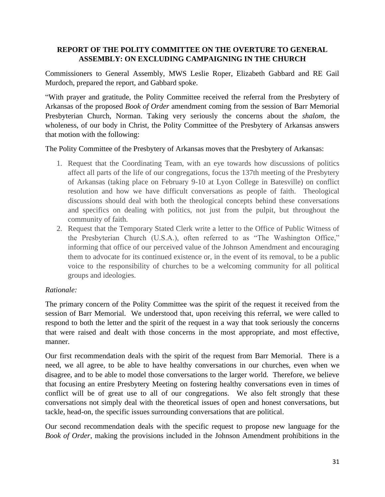# **REPORT OF THE POLITY COMMITTEE ON THE OVERTURE TO GENERAL ASSEMBLY: ON EXCLUDING CAMPAIGNING IN THE CHURCH**

Commissioners to General Assembly, MWS Leslie Roper, Elizabeth Gabbard and RE Gail Murdoch, prepared the report, and Gabbard spoke.

"With prayer and gratitude, the Polity Committee received the referral from the Presbytery of Arkansas of the proposed *Book of Order* amendment coming from the session of Barr Memorial Presbyterian Church, Norman. Taking very seriously the concerns about the *shalom*, the wholeness, of our body in Christ, the Polity Committee of the Presbytery of Arkansas answers that motion with the following:

The Polity Committee of the Presbytery of Arkansas moves that the Presbytery of Arkansas:

- 1. Request that the Coordinating Team, with an eye towards how discussions of politics affect all parts of the life of our congregations, focus the 137th meeting of the Presbytery of Arkansas (taking place on February 9-10 at Lyon College in Batesville) on conflict resolution and how we have difficult conversations as people of faith. Theological discussions should deal with both the theological concepts behind these conversations and specifics on dealing with politics, not just from the pulpit, but throughout the community of faith.
- 2. Request that the Temporary Stated Clerk write a letter to the Office of Public Witness of the Presbyterian Church (U.S.A.), often referred to as "The Washington Office," informing that office of our perceived value of the Johnson Amendment and encouraging them to advocate for its continued existence or, in the event of its removal, to be a public voice to the responsibility of churches to be a welcoming community for all political groups and ideologies.

# *Rationale:*

The primary concern of the Polity Committee was the spirit of the request it received from the session of Barr Memorial. We understood that, upon receiving this referral, we were called to respond to both the letter and the spirit of the request in a way that took seriously the concerns that were raised and dealt with those concerns in the most appropriate, and most effective, manner.

Our first recommendation deals with the spirit of the request from Barr Memorial. There is a need, we all agree, to be able to have healthy conversations in our churches, even when we disagree, and to be able to model those conversations to the larger world. Therefore, we believe that focusing an entire Presbytery Meeting on fostering healthy conversations even in times of conflict will be of great use to all of our congregations. We also felt strongly that these conversations not simply deal with the theoretical issues of open and honest conversations, but tackle, head-on, the specific issues surrounding conversations that are political.

Our second recommendation deals with the specific request to propose new language for the *Book of Order*, making the provisions included in the Johnson Amendment prohibitions in the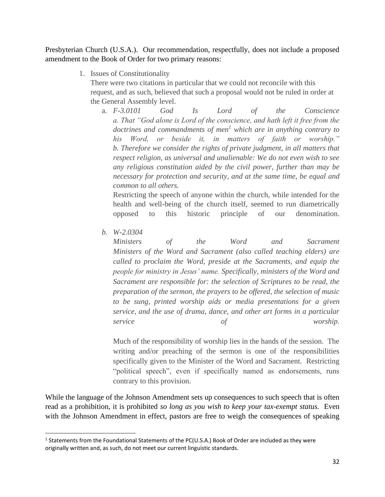Presbyterian Church (U.S.A.). Our recommendation, respectfully, does not include a proposed amendment to the Book of Order for two primary reasons:

1. Issues of Constitutionality

There were two citations in particular that we could not reconcile with this request, and as such, believed that such a proposal would not be ruled in order at the General Assembly level.

a. *F-3.0101 God Is Lord of the Conscience a. That "God alone is Lord of the conscience, and hath left it free from the doctrines and commandments of men<sup>1</sup> which are in anything contrary to his Word, or beside it, in matters of faith or worship." b. Therefore we consider the rights of private judgment, in all matters that respect religion, as universal and unalienable: We do not even wish to see any religious constitution aided by the civil power, further than may be necessary for protection and security, and at the same time, be equal and common to all others.*

Restricting the speech of anyone within the church, while intended for the health and well-being of the church itself, seemed to run diametrically opposed to this historic principle of our denomination.

*b. W-2.0304*

*Ministers of the Word and Sacrament Ministers of the Word and Sacrament (also called teaching elders) are called to proclaim the Word, preside at the Sacraments, and equip the people for ministry in Jesus' name. Specifically, ministers of the Word and Sacrament are responsible for: the selection of Scriptures to be read, the preparation of the sermon, the prayers to be offered, the selection of music to be sung, printed worship aids or media presentations for a given service, and the use of drama, dance, and other art forms in a particular service of worship.*

Much of the responsibility of worship lies in the hands of the session. The writing and/or preaching of the sermon is one of the responsibilities specifically given to the Minister of the Word and Sacrament. Restricting "political speech", even if specifically named as endorsements, runs contrary to this provision.

While the language of the Johnson Amendment sets up consequences to such speech that is often read as a prohibition, it is prohibited *so long as you wish to keep your tax-exempt status.* Even with the Johnson Amendment in effect, pastors are free to weigh the consequences of speaking

<sup>&</sup>lt;sup>1</sup> Statements from the Foundational Statements of the PC(U.S.A.) Book of Order are included as they were originally written and, as such, do not meet our current linguistic standards.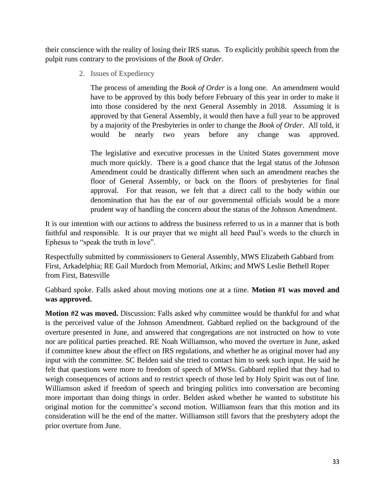their conscience with the reality of losing their IRS status. To explicitly prohibit speech from the pulpit runs contrary to the provisions of the *Book of Order*.

2. Issues of Expediency

The process of amending the *Book of Order* is a long one. An amendment would have to be approved by this body before February of this year in order to make it into those considered by the next General Assembly in 2018. Assuming it is approved by that General Assembly, it would then have a full year to be approved by a majority of the Presbyteries in order to change the *Book of Order*. All told, it would be nearly two years before any change was approved.

The legislative and executive processes in the United States government move much more quickly. There is a good chance that the legal status of the Johnson Amendment could be drastically different when such an amendment reaches the floor of General Assembly, or back on the floors of presbyteries for final approval. For that reason, we felt that a direct call to the body within our denomination that has the ear of our governmental officials would be a more prudent way of handling the concern about the status of the Johnson Amendment.

It is our intention with our actions to address the business referred to us in a manner that is both faithful and responsible. It is our prayer that we might all heed Paul's words to the church in Ephesus to "speak the truth in love".

Respectfully submitted by commissioners to General Assembly, MWS Elizabeth Gabbard from First, Arkadelphia; RE Gail Murdoch from Memorial, Atkins; and MWS Leslie Bethell Roper from First, Batesville

Gabbard spoke. Falls asked about moving motions one at a time. **Motion #1 was moved and was approved.**

**Motion #2 was moved.** Discussion: Falls asked why committee would be thankful for and what is the perceived value of the Johnson Amendment. Gabbard replied on the background of the overture presented in June, and answered that congregations are not instructed on how to vote nor are political parties preached. RE Noah Williamson, who moved the overture in June, asked if committee knew about the effect on IRS regulations, and whether he as original mover had any input with the committee. SC Belden said she tried to contact him to seek such input. He said he felt that questions were more to freedom of speech of MWSs. Gabbard replied that they had to weigh consequences of actions and to restrict speech of those led by Holy Spirit was out of line. Williamson asked if freedom of speech and bringing politics into conversation are becoming more important than doing things in order. Belden asked whether he wanted to substitute his original motion for the committee's second motion. Williamson fears that this motion and its consideration will be the end of the matter. Williamson still favors that the presbytery adopt the prior overture from June.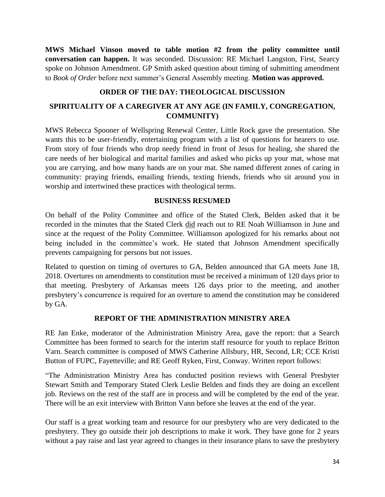**MWS Michael Vinson moved to table motion #2 from the polity committee until conversation can happen.** It was seconded. Discussion: RE Michael Langston, First, Searcy spoke on Johnson Amendment. GP Smith asked question about timing of submitting amendment to *Book of Order* before next summer's General Assembly meeting. **Motion was approved.**

# **ORDER OF THE DAY: THEOLOGICAL DISCUSSION**

# **SPIRITUALITY OF A CAREGIVER AT ANY AGE (IN FAMILY, CONGREGATION, COMMUNITY)**

MWS Rebecca Spooner of Wellspring Renewal Center, Little Rock gave the presentation. She wants this to be user-friendly, entertaining program with a list of questions for hearers to use. From story of four friends who drop needy friend in front of Jesus for healing, she shared the care needs of her biological and marital families and asked who picks up your mat, whose mat you are carrying, and how many hands are on your mat. She named different zones of caring in community: praying friends, emailing friends, texting friends, friends who sit around you in worship and intertwined these practices with theological terms.

### **BUSINESS RESUMED**

On behalf of the Polity Committee and office of the Stated Clerk, Belden asked that it be recorded in the minutes that the Stated Clerk did reach out to RE Noah Williamson in June and since at the request of the Polity Committee. Williamson apologized for his remarks about not being included in the committee's work. He stated that Johnson Amendment specifically prevents campaigning for persons but not issues.

Related to question on timing of overtures to GA, Belden announced that GA meets June 18, 2018. Overtures on amendments to constitution must be received a minimum of 120 days prior to that meeting. Presbytery of Arkansas meets 126 days prior to the meeting, and another presbytery's concurrence is required for an overture to amend the constitution may be considered by GA.

### **REPORT OF THE ADMINISTRATION MINISTRY AREA**

RE Jan Enke, moderator of the Administration Ministry Area, gave the report: that a Search Committee has been formed to search for the interim staff resource for youth to replace Britton Varn. Search committee is composed of MWS Catherine Allsbury, HR, Second, LR; CCE Kristi Button of FUPC, Fayetteville; and RE Geoff Ryken, First, Conway. Written report follows:

"The Administration Ministry Area has conducted position reviews with General Presbyter Stewart Smith and Temporary Stated Clerk Leslie Belden and finds they are doing an excellent job. Reviews on the rest of the staff are in process and will be completed by the end of the year. There will be an exit interview with Britton Vann before she leaves at the end of the year.

Our staff is a great working team and resource for our presbytery who are very dedicated to the presbytery. They go outside their job descriptions to make it work. They have gone for 2 years without a pay raise and last year agreed to changes in their insurance plans to save the presbytery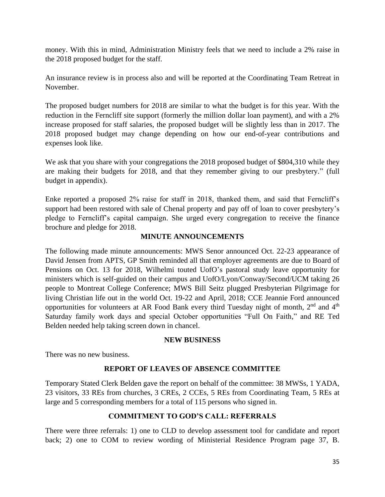money. With this in mind, Administration Ministry feels that we need to include a 2% raise in the 2018 proposed budget for the staff.

An insurance review is in process also and will be reported at the Coordinating Team Retreat in November.

The proposed budget numbers for 2018 are similar to what the budget is for this year. With the reduction in the Ferncliff site support (formerly the million dollar loan payment), and with a 2% increase proposed for staff salaries, the proposed budget will be slightly less than in 2017. The 2018 proposed budget may change depending on how our end-of-year contributions and expenses look like.

We ask that you share with your congregations the 2018 proposed budget of \$804,310 while they are making their budgets for 2018, and that they remember giving to our presbytery." (full budget in appendix).

Enke reported a proposed 2% raise for staff in 2018, thanked them, and said that Ferncliff's support had been restored with sale of Chenal property and pay off of loan to cover presbytery's pledge to Ferncliff's capital campaign. She urged every congregation to receive the finance brochure and pledge for 2018.

# **MINUTE ANNOUNCEMENTS**

The following made minute announcements: MWS Senor announced Oct. 22-23 appearance of David Jensen from APTS, GP Smith reminded all that employer agreements are due to Board of Pensions on Oct. 13 for 2018, Wilhelmi touted UofO's pastoral study leave opportunity for ministers which is self-guided on their campus and UofO/Lyon/Conway/Second/UCM taking 26 people to Montreat College Conference; MWS Bill Seitz plugged Presbyterian Pilgrimage for living Christian life out in the world Oct. 19-22 and April, 2018; CCE Jeannie Ford announced opportunities for volunteers at AR Food Bank every third Tuesday night of month,  $2<sup>nd</sup>$  and  $4<sup>th</sup>$ Saturday family work days and special October opportunities "Full On Faith," and RE Ted Belden needed help taking screen down in chancel.

# **NEW BUSINESS**

There was no new business.

# **REPORT OF LEAVES OF ABSENCE COMMITTEE**

Temporary Stated Clerk Belden gave the report on behalf of the committee: 38 MWSs, 1 YADA, 23 visitors, 33 REs from churches, 3 CREs, 2 CCEs, 5 REs from Coordinating Team, 5 REs at large and 5 corresponding members for a total of 115 persons who signed in.

# **COMMITMENT TO GOD'S CALL: REFERRALS**

There were three referrals: 1) one to CLD to develop assessment tool for candidate and report back; 2) one to COM to review wording of Ministerial Residence Program page 37, B.